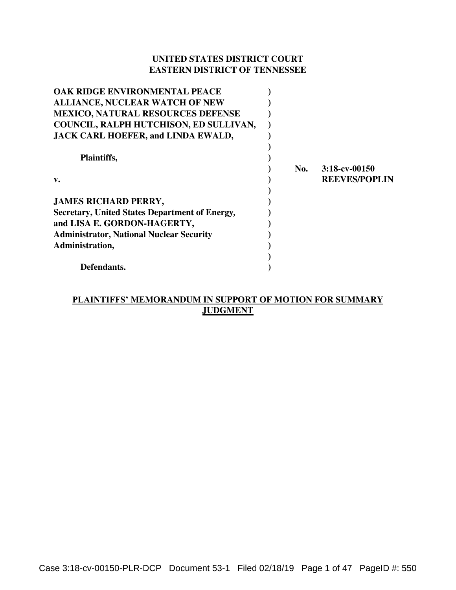# **UNITED STATES DISTRICT COURT EASTERN DISTRICT OF TENNESSEE**

| OAK RIDGE ENVIRONMENTAL PEACE                         |     |                      |
|-------------------------------------------------------|-----|----------------------|
| <b>ALLIANCE, NUCLEAR WATCH OF NEW</b>                 |     |                      |
| <b>MEXICO, NATURAL RESOURCES DEFENSE</b>              |     |                      |
| COUNCIL, RALPH HUTCHISON, ED SULLIVAN,                |     |                      |
| <b>JACK CARL HOEFER, and LINDA EWALD,</b>             |     |                      |
|                                                       |     |                      |
| Plaintiffs,                                           |     |                      |
|                                                       | No. | $3:18$ -cv-00150     |
| v.                                                    |     | <b>REEVES/POPLIN</b> |
|                                                       |     |                      |
| <b>JAMES RICHARD PERRY,</b>                           |     |                      |
| <b>Secretary, United States Department of Energy,</b> |     |                      |
| and LISA E. GORDON-HAGERTY,                           |     |                      |
| <b>Administrator, National Nuclear Security</b>       |     |                      |
| Administration,                                       |     |                      |
|                                                       |     |                      |
| Defendants.                                           |     |                      |

# **PLAINTIFFS' MEMORANDUM IN SUPPORT OF MOTION FOR SUMMARY JUDGMENT**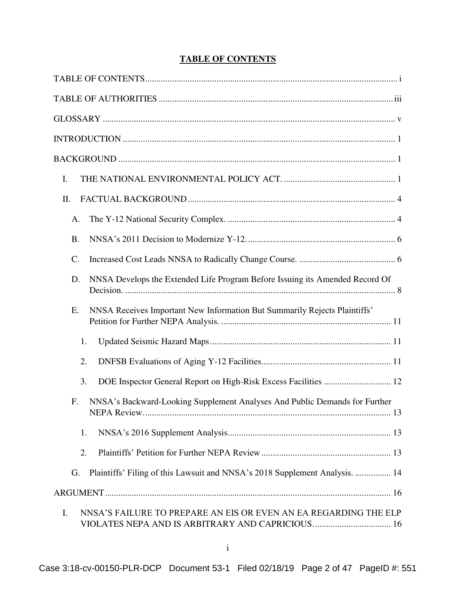# **TABLE OF CONTENTS**

<span id="page-1-0"></span>

| I.                                                                                                                         |
|----------------------------------------------------------------------------------------------------------------------------|
| II.                                                                                                                        |
| A.                                                                                                                         |
| <b>B.</b>                                                                                                                  |
| C.                                                                                                                         |
| NNSA Develops the Extended Life Program Before Issuing its Amended Record Of<br>D.                                         |
| NNSA Receives Important New Information But Summarily Rejects Plaintiffs'<br>E.                                            |
| 1.                                                                                                                         |
| 2.                                                                                                                         |
| 3.                                                                                                                         |
| NNSA's Backward-Looking Supplement Analyses And Public Demands for Further<br>F.                                           |
| 1.                                                                                                                         |
| 2.                                                                                                                         |
| Plaintiffs' Filing of this Lawsuit and NNSA's 2018 Supplement Analysis.  14<br>G.                                          |
|                                                                                                                            |
| NNSA'S FAILURE TO PREPARE AN EIS OR EVEN AN EA REGARDING THE ELP<br>I.<br>VIOLATES NEPA AND IS ARBITRARY AND CAPRICIOUS 16 |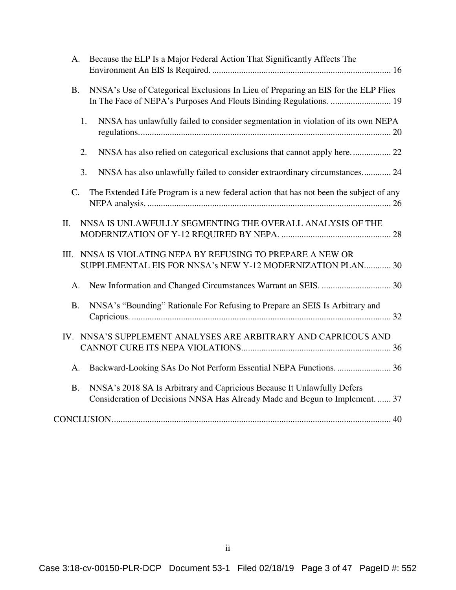| A.        | Because the ELP Is a Major Federal Action That Significantly Affects The                                                                                 |
|-----------|----------------------------------------------------------------------------------------------------------------------------------------------------------|
| <b>B.</b> | NNSA's Use of Categorical Exclusions In Lieu of Preparing an EIS for the ELP Flies<br>In The Face of NEPA's Purposes And Flouts Binding Regulations.  19 |
|           | NNSA has unlawfully failed to consider segmentation in violation of its own NEPA<br>1.                                                                   |
|           | NNSA has also relied on categorical exclusions that cannot apply here 22<br>2.                                                                           |
|           | NNSA has also unlawfully failed to consider extraordinary circumstances 24<br>3.                                                                         |
| C.        | The Extended Life Program is a new federal action that has not been the subject of any                                                                   |
| II.       | NNSA IS UNLAWFULLY SEGMENTING THE OVERALL ANALYSIS OF THE                                                                                                |
| III.      | NNSA IS VIOLATING NEPA BY REFUSING TO PREPARE A NEW OR<br>SUPPLEMENTAL EIS FOR NNSA's NEW Y-12 MODERNIZATION PLAN 30                                     |
| A.        |                                                                                                                                                          |
| <b>B.</b> | NNSA's "Bounding" Rationale For Refusing to Prepare an SEIS Is Arbitrary and                                                                             |
|           | IV. NNSA'S SUPPLEMENT ANALYSES ARE ARBITRARY AND CAPRICOUS AND                                                                                           |
| A.        |                                                                                                                                                          |
| <b>B.</b> | NNSA's 2018 SA Is Arbitrary and Capricious Because It Unlawfully Defers<br>Consideration of Decisions NNSA Has Already Made and Begun to Implement.  37  |
|           |                                                                                                                                                          |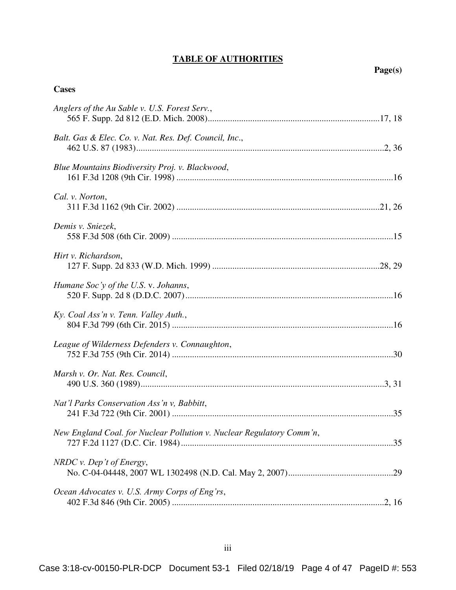# **TABLE OF AUTHORITIES**

# <span id="page-3-0"></span>**Cases**

| Anglers of the Au Sable v. U.S. Forest Serv.,                         |  |
|-----------------------------------------------------------------------|--|
| Balt. Gas & Elec. Co. v. Nat. Res. Def. Council, Inc.,                |  |
| Blue Mountains Biodiversity Proj. v. Blackwood,                       |  |
| Cal. v. Norton,                                                       |  |
| Demis v. Sniezek,                                                     |  |
| Hirt v. Richardson,                                                   |  |
| Humane Soc'y of the U.S. v. Johanns,                                  |  |
| Ky. Coal Ass'n v. Tenn. Valley Auth.,                                 |  |
| League of Wilderness Defenders v. Connaughton,                        |  |
| Marsh v. Or. Nat. Res. Council,                                       |  |
| Nat'l Parks Conservation Ass'n v, Babbitt,                            |  |
| New England Coal. for Nuclear Pollution v. Nuclear Regulatory Comm'n, |  |
| $NRDC$ v. Dep't of Energy,                                            |  |
| Ocean Advocates v. U.S. Army Corps of Eng'rs,                         |  |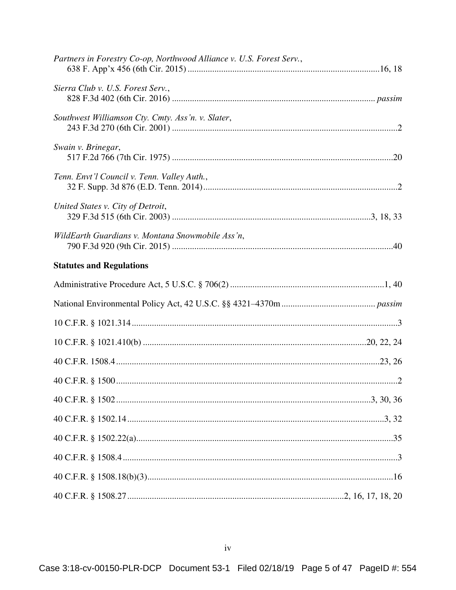| Partners in Forestry Co-op, Northwood Alliance v. U.S. Forest Serv., |  |
|----------------------------------------------------------------------|--|
| Sierra Club v. U.S. Forest Serv.,                                    |  |
| Southwest Williamson Cty. Cmty. Ass'n. v. Slater,                    |  |
| Swain v. Brinegar,                                                   |  |
| Tenn. Envt'l Council v. Tenn. Valley Auth.,                          |  |
| United States v. City of Detroit,                                    |  |
| WildEarth Guardians v. Montana Snowmobile Ass'n,                     |  |
| <b>Statutes and Regulations</b>                                      |  |
|                                                                      |  |
|                                                                      |  |
|                                                                      |  |
|                                                                      |  |
|                                                                      |  |
|                                                                      |  |
|                                                                      |  |
|                                                                      |  |
|                                                                      |  |
|                                                                      |  |
|                                                                      |  |
|                                                                      |  |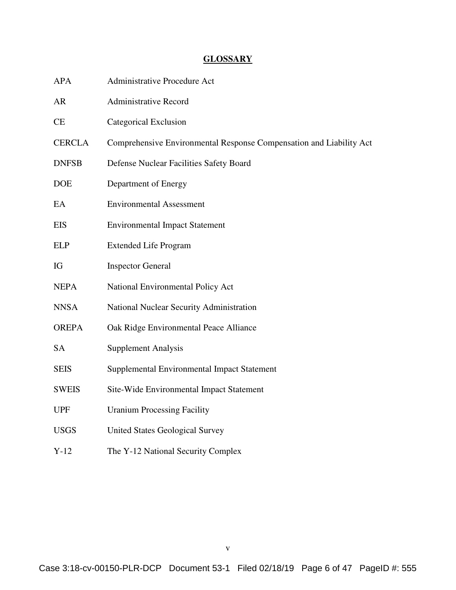# **GLOSSARY**

<span id="page-5-0"></span>

| <b>APA</b>    | <b>Administrative Procedure Act</b>                                 |
|---------------|---------------------------------------------------------------------|
| <b>AR</b>     | <b>Administrative Record</b>                                        |
| <b>CE</b>     | Categorical Exclusion                                               |
| <b>CERCLA</b> | Comprehensive Environmental Response Compensation and Liability Act |
| <b>DNFSB</b>  | Defense Nuclear Facilities Safety Board                             |
| <b>DOE</b>    | Department of Energy                                                |
| EA            | <b>Environmental Assessment</b>                                     |
| <b>EIS</b>    | <b>Environmental Impact Statement</b>                               |
| <b>ELP</b>    | <b>Extended Life Program</b>                                        |
| IG            | <b>Inspector General</b>                                            |
| <b>NEPA</b>   | National Environmental Policy Act                                   |
| <b>NNSA</b>   | National Nuclear Security Administration                            |
| <b>OREPA</b>  | Oak Ridge Environmental Peace Alliance                              |
| <b>SA</b>     | <b>Supplement Analysis</b>                                          |
| <b>SEIS</b>   | Supplemental Environmental Impact Statement                         |
| <b>SWEIS</b>  | Site-Wide Environmental Impact Statement                            |
| <b>UPF</b>    | <b>Uranium Processing Facility</b>                                  |
| <b>USGS</b>   | <b>United States Geological Survey</b>                              |
| $Y-12$        | The Y-12 National Security Complex                                  |

v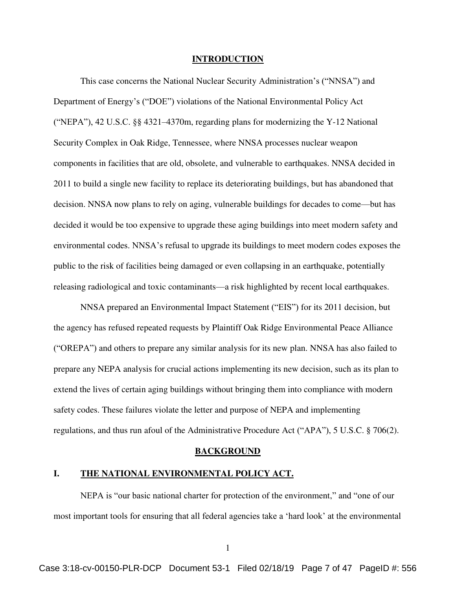#### **INTRODUCTION**

<span id="page-6-0"></span>This case concerns the National Nuclear Security Administration's ("NNSA") and Department of Energy's ("DOE") violations of the National Environmental Policy Act ("NEPA"), 42 U.S.C. §§ 4321–4370m, regarding plans for modernizing the Y-12 National Security Complex in Oak Ridge, Tennessee, where NNSA processes nuclear weapon components in facilities that are old, obsolete, and vulnerable to earthquakes. NNSA decided in 2011 to build a single new facility to replace its deteriorating buildings, but has abandoned that decision. NNSA now plans to rely on aging, vulnerable buildings for decades to come—but has decided it would be too expensive to upgrade these aging buildings into meet modern safety and environmental codes. NNSA's refusal to upgrade its buildings to meet modern codes exposes the public to the risk of facilities being damaged or even collapsing in an earthquake, potentially releasing radiological and toxic contaminants—a risk highlighted by recent local earthquakes.

NNSA prepared an Environmental Impact Statement ("EIS") for its 2011 decision, but the agency has refused repeated requests by Plaintiff Oak Ridge Environmental Peace Alliance ("OREPA") and others to prepare any similar analysis for its new plan. NNSA has also failed to prepare any NEPA analysis for crucial actions implementing its new decision, such as its plan to extend the lives of certain aging buildings without bringing them into compliance with modern safety codes. These failures violate the letter and purpose of NEPA and implementing regulations, and thus run afoul of the Administrative Procedure Act ("APA"), 5 U.S.C. § 706(2).

#### <span id="page-6-3"></span>**BACKGROUND**

#### <span id="page-6-2"></span><span id="page-6-1"></span>**I. THE NATIONAL ENVIRONMENTAL POLICY ACT.**

NEPA is "our basic national charter for protection of the environment," and "one of our most important tools for ensuring that all federal agencies take a 'hard look' at the environmental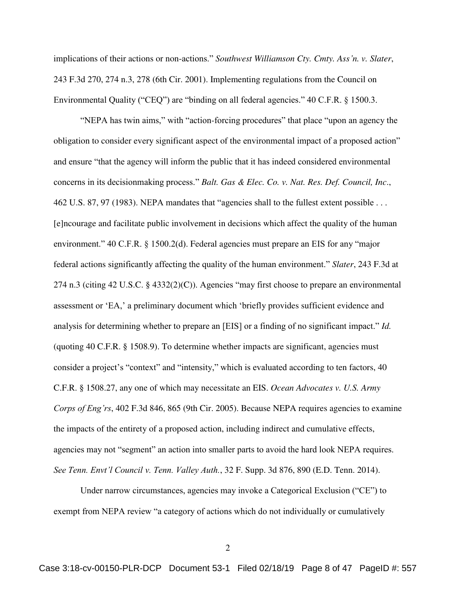<span id="page-7-2"></span>implications of their actions or non-actions." *Southwest Williamson Cty. Cmty. Ass'n. v. Slater*, 243 F.3d 270, 274 n.3, 278 (6th Cir. 2001). Implementing regulations from the Council on Environmental Quality ("CEQ") are "binding on all federal agencies." 40 C.F.R. § 1500.3.

<span id="page-7-4"></span><span id="page-7-0"></span>"NEPA has twin aims," with "action-forcing procedures" that place "upon an agency the obligation to consider every significant aspect of the environmental impact of a proposed action" and ensure "that the agency will inform the public that it has indeed considered environmental concerns in its decisionmaking process." *Balt. Gas & Elec. Co. v. Nat. Res. Def. Council, Inc*., 462 U.S. 87, 97 (1983). NEPA mandates that "agencies shall to the fullest extent possible . . . [e]ncourage and facilitate public involvement in decisions which affect the quality of the human environment." 40 C.F.R. § 1500.2(d). Federal agencies must prepare an EIS for any "major federal actions significantly affecting the quality of the human environment." *Slater*, 243 F.3d at 274 n.3 (citing 42 U.S.C. § 4332(2)(C)). Agencies "may first choose to prepare an environmental assessment or 'EA,' a preliminary document which 'briefly provides sufficient evidence and analysis for determining whether to prepare an [EIS] or a finding of no significant impact." *Id.*  (quoting 40 C.F.R. § 1508.9). To determine whether impacts are significant, agencies must consider a project's "context" and "intensity," which is evaluated according to ten factors, 40 C.F.R. § 1508.27, any one of which may necessitate an EIS. *Ocean Advocates v. U.S. Army Corps of Eng'rs*, 402 F.3d 846, 865 (9th Cir. 2005). Because NEPA requires agencies to examine the impacts of the entirety of a proposed action, including indirect and cumulative effects, agencies may not "segment" an action into smaller parts to avoid the hard look NEPA requires. *See Tenn. Envt'l Council v. Tenn. Valley Auth.*, 32 F. Supp. 3d 876, 890 (E.D. Tenn. 2014).

<span id="page-7-3"></span>Under narrow circumstances, agencies may invoke a Categorical Exclusion ("CE") to exempt from NEPA review "a category of actions which do not individually or cumulatively

<span id="page-7-5"></span><span id="page-7-1"></span>2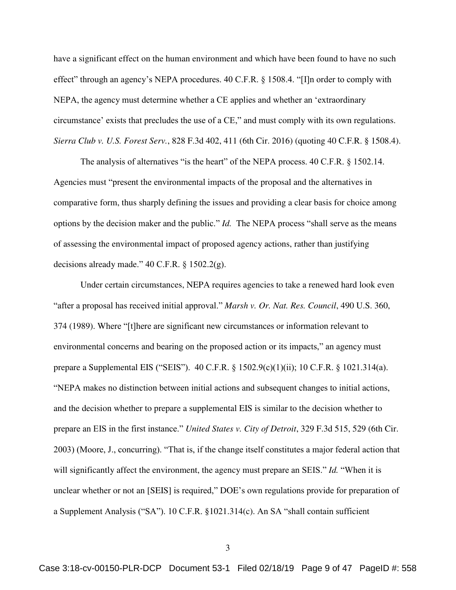<span id="page-8-6"></span>have a significant effect on the human environment and which have been found to have no such effect" through an agency's NEPA procedures. 40 C.F.R. § 1508.4. "[I]n order to comply with NEPA, the agency must determine whether a CE applies and whether an 'extraordinary circumstance' exists that precludes the use of a CE," and must comply with its own regulations. *Sierra Club v. U.S. Forest Serv.*, 828 F.3d 402, 411 (6th Cir. 2016) (quoting 40 C.F.R. § 1508.4).

<span id="page-8-5"></span><span id="page-8-1"></span>The analysis of alternatives "is the heart" of the NEPA process. 40 C.F.R. § 1502.14. Agencies must "present the environmental impacts of the proposal and the alternatives in comparative form, thus sharply defining the issues and providing a clear basis for choice among options by the decision maker and the public." *Id.* The NEPA process "shall serve as the means of assessing the environmental impact of proposed agency actions, rather than justifying decisions already made." 40 C.F.R. § 1502.2(g).

<span id="page-8-4"></span><span id="page-8-3"></span><span id="page-8-2"></span><span id="page-8-0"></span>Under certain circumstances, NEPA requires agencies to take a renewed hard look even "after a proposal has received initial approval." *Marsh v. Or. Nat. Res. Council*, 490 U.S. 360, 374 (1989). Where "[t]here are significant new circumstances or information relevant to environmental concerns and bearing on the proposed action or its impacts," an agency must prepare a Supplemental EIS ("SEIS"). 40 C.F.R. § 1502.9(c)(1)(ii); 10 C.F.R. § 1021.314(a). "NEPA makes no distinction between initial actions and subsequent changes to initial actions, and the decision whether to prepare a supplemental EIS is similar to the decision whether to prepare an EIS in the first instance." *United States v. City of Detroit*, 329 F.3d 515, 529 (6th Cir. 2003) (Moore, J., concurring). "That is, if the change itself constitutes a major federal action that will significantly affect the environment, the agency must prepare an SEIS." *Id.* "When it is unclear whether or not an [SEIS] is required," DOE's own regulations provide for preparation of a Supplement Analysis ("SA"). 10 C.F.R. §1021.314(c). An SA "shall contain sufficient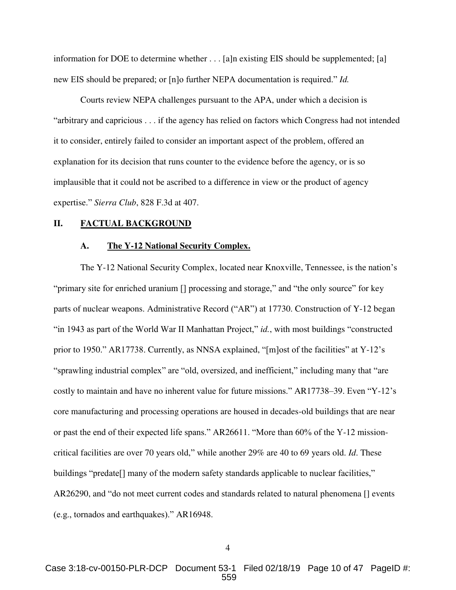information for DOE to determine whether . . . [a]n existing EIS should be supplemented; [a] new EIS should be prepared; or [n]o further NEPA documentation is required." *Id.* 

 Courts review NEPA challenges pursuant to the APA, under which a decision is "arbitrary and capricious . . . if the agency has relied on factors which Congress had not intended it to consider, entirely failed to consider an important aspect of the problem, offered an explanation for its decision that runs counter to the evidence before the agency, or is so implausible that it could not be ascribed to a difference in view or the product of agency expertise." *Sierra Club*, 828 F.3d at 407.

### <span id="page-9-1"></span><span id="page-9-0"></span>**II. FACTUAL BACKGROUND**

#### **A. The Y-12 National Security Complex.**

The Y-12 National Security Complex, located near Knoxville, Tennessee, is the nation's "primary site for enriched uranium [] processing and storage," and "the only source" for key parts of nuclear weapons. Administrative Record ("AR") at 17730. Construction of Y-12 began "in 1943 as part of the World War II Manhattan Project," *id.*, with most buildings "constructed prior to 1950." AR17738. Currently, as NNSA explained, "[m]ost of the facilities" at Y-12's "sprawling industrial complex" are "old, oversized, and inefficient," including many that "are costly to maintain and have no inherent value for future missions." AR17738–39. Even "Y-12's core manufacturing and processing operations are housed in decades-old buildings that are near or past the end of their expected life spans." AR26611. "More than 60% of the Y-12 missioncritical facilities are over 70 years old," while another 29% are 40 to 69 years old. *Id*. These buildings "predate<sup>[]</sup> many of the modern safety standards applicable to nuclear facilities," AR26290, and "do not meet current codes and standards related to natural phenomena [] events (e.g., tornados and earthquakes)." AR16948.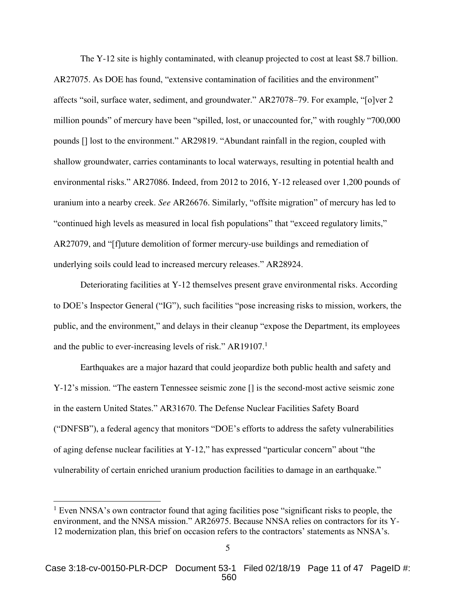The Y-12 site is highly contaminated, with cleanup projected to cost at least \$8.7 billion. AR27075. As DOE has found, "extensive contamination of facilities and the environment" affects "soil, surface water, sediment, and groundwater." AR27078–79. For example, "[o]ver 2 million pounds" of mercury have been "spilled, lost, or unaccounted for," with roughly "700,000 pounds [] lost to the environment." AR29819. "Abundant rainfall in the region, coupled with shallow groundwater, carries contaminants to local waterways, resulting in potential health and environmental risks." AR27086. Indeed, from 2012 to 2016, Y-12 released over 1,200 pounds of uranium into a nearby creek. *See* AR26676. Similarly, "offsite migration" of mercury has led to "continued high levels as measured in local fish populations" that "exceed regulatory limits," AR27079, and "[f]uture demolition of former mercury-use buildings and remediation of underlying soils could lead to increased mercury releases." AR28924.

Deteriorating facilities at Y-12 themselves present grave environmental risks. According to DOE's Inspector General ("IG"), such facilities "pose increasing risks to mission, workers, the public, and the environment," and delays in their cleanup "expose the Department, its employees and the public to ever-increasing levels of risk." AR19107. $<sup>1</sup>$ </sup>

Earthquakes are a major hazard that could jeopardize both public health and safety and Y-12's mission. "The eastern Tennessee seismic zone [] is the second-most active seismic zone in the eastern United States." AR31670. The Defense Nuclear Facilities Safety Board ("DNFSB"), a federal agency that monitors "DOE's efforts to address the safety vulnerabilities of aging defense nuclear facilities at Y-12," has expressed "particular concern" about "the vulnerability of certain enriched uranium production facilities to damage in an earthquake."

 $1$  Even NNSA's own contractor found that aging facilities pose "significant risks to people, the environment, and the NNSA mission." AR26975. Because NNSA relies on contractors for its Y-12 modernization plan, this brief on occasion refers to the contractors' statements as NNSA's.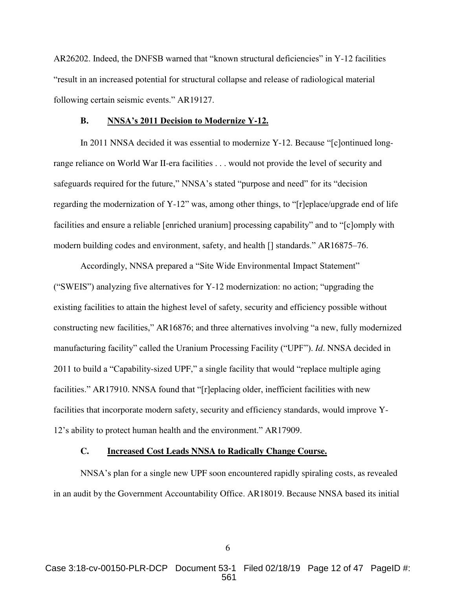AR26202. Indeed, the DNFSB warned that "known structural deficiencies" in Y-12 facilities "result in an increased potential for structural collapse and release of radiological material following certain seismic events." AR19127.

#### **B. NNSA's 2011 Decision to Modernize Y-12.**

<span id="page-11-0"></span>In 2011 NNSA decided it was essential to modernize Y-12. Because "[c]ontinued longrange reliance on World War II-era facilities . . . would not provide the level of security and safeguards required for the future," NNSA's stated "purpose and need" for its "decision regarding the modernization of Y-12" was, among other things, to "[r]eplace/upgrade end of life facilities and ensure a reliable [enriched uranium] processing capability" and to "[c]omply with modern building codes and environment, safety, and health [] standards." AR16875–76.

Accordingly, NNSA prepared a "Site Wide Environmental Impact Statement" ("SWEIS") analyzing five alternatives for Y-12 modernization: no action; "upgrading the existing facilities to attain the highest level of safety, security and efficiency possible without constructing new facilities," AR16876; and three alternatives involving "a new, fully modernized manufacturing facility" called the Uranium Processing Facility ("UPF"). *Id*. NNSA decided in 2011 to build a "Capability-sized UPF," a single facility that would "replace multiple aging facilities." AR17910. NNSA found that "[r]eplacing older, inefficient facilities with new facilities that incorporate modern safety, security and efficiency standards, would improve Y-12's ability to protect human health and the environment." AR17909.

### **C. Increased Cost Leads NNSA to Radically Change Course.**

<span id="page-11-1"></span>NNSA's plan for a single new UPF soon encountered rapidly spiraling costs, as revealed in an audit by the Government Accountability Office. AR18019. Because NNSA based its initial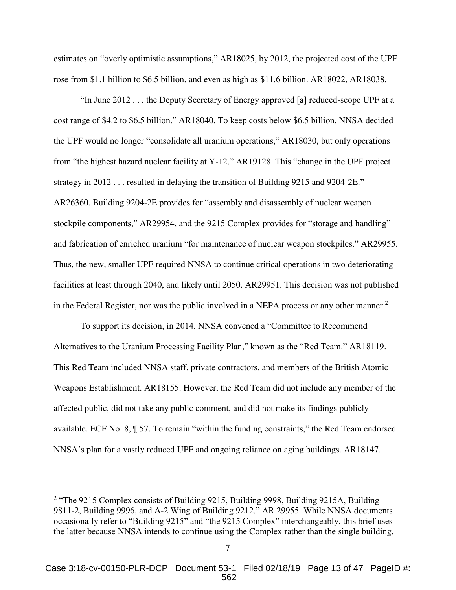estimates on "overly optimistic assumptions," AR18025, by 2012, the projected cost of the UPF rose from \$1.1 billion to \$6.5 billion, and even as high as \$11.6 billion. AR18022, AR18038.

"In June 2012 . . . the Deputy Secretary of Energy approved [a] reduced-scope UPF at a cost range of \$4.2 to \$6.5 billion." AR18040. To keep costs below \$6.5 billion, NNSA decided the UPF would no longer "consolidate all uranium operations," AR18030, but only operations from "the highest hazard nuclear facility at Y-12." AR19128. This "change in the UPF project strategy in 2012 . . . resulted in delaying the transition of Building 9215 and 9204-2E." AR26360. Building 9204-2E provides for "assembly and disassembly of nuclear weapon stockpile components," AR29954, and the 9215 Complex provides for "storage and handling" and fabrication of enriched uranium "for maintenance of nuclear weapon stockpiles." AR29955. Thus, the new, smaller UPF required NNSA to continue critical operations in two deteriorating facilities at least through 2040, and likely until 2050. AR29951. This decision was not published in the Federal Register, nor was the public involved in a NEPA process or any other manner.<sup>2</sup>

To support its decision, in 2014, NNSA convened a "Committee to Recommend Alternatives to the Uranium Processing Facility Plan," known as the "Red Team." AR18119. This Red Team included NNSA staff, private contractors, and members of the British Atomic Weapons Establishment. AR18155. However, the Red Team did not include any member of the affected public, did not take any public comment, and did not make its findings publicly available. ECF No. 8, ¶ 57. To remain "within the funding constraints," the Red Team endorsed NNSA's plan for a vastly reduced UPF and ongoing reliance on aging buildings. AR18147.

<sup>&</sup>lt;sup>2</sup> "The 9215 Complex consists of Building 9215, Building 9998, Building 9215A, Building 9811-2, Building 9996, and A-2 Wing of Building 9212." AR 29955. While NNSA documents occasionally refer to "Building 9215" and "the 9215 Complex" interchangeably, this brief uses the latter because NNSA intends to continue using the Complex rather than the single building.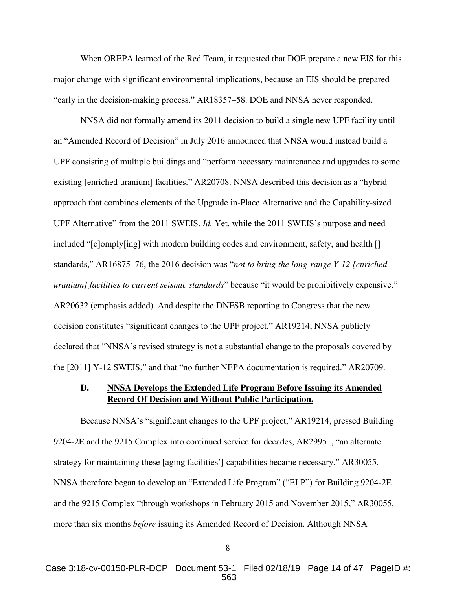When OREPA learned of the Red Team, it requested that DOE prepare a new EIS for this major change with significant environmental implications, because an EIS should be prepared "early in the decision-making process." AR18357–58. DOE and NNSA never responded.

NNSA did not formally amend its 2011 decision to build a single new UPF facility until an "Amended Record of Decision" in July 2016 announced that NNSA would instead build a UPF consisting of multiple buildings and "perform necessary maintenance and upgrades to some existing [enriched uranium] facilities." AR20708. NNSA described this decision as a "hybrid approach that combines elements of the Upgrade in-Place Alternative and the Capability-sized UPF Alternative" from the 2011 SWEIS. *Id.* Yet, while the 2011 SWEIS's purpose and need included "[c]omply[ing] with modern building codes and environment, safety, and health [] standards," AR16875–76, the 2016 decision was "*not to bring the long-range Y-12 [enriched uranium] facilities to current seismic standards*" because "it would be prohibitively expensive." AR20632 (emphasis added). And despite the DNFSB reporting to Congress that the new decision constitutes "significant changes to the UPF project," AR19214, NNSA publicly declared that "NNSA's revised strategy is not a substantial change to the proposals covered by the [2011] Y-12 SWEIS," and that "no further NEPA documentation is required." AR20709.

# <span id="page-13-0"></span>**D. NNSA Develops the Extended Life Program Before Issuing its Amended Record Of Decision and Without Public Participation.**

Because NNSA's "significant changes to the UPF project," AR19214, pressed Building 9204-2E and the 9215 Complex into continued service for decades, AR29951, "an alternate strategy for maintaining these [aging facilities'] capabilities became necessary." AR30055*.* NNSA therefore began to develop an "Extended Life Program" ("ELP") for Building 9204-2E and the 9215 Complex "through workshops in February 2015 and November 2015," AR30055, more than six months *before* issuing its Amended Record of Decision. Although NNSA

<sup>8</sup>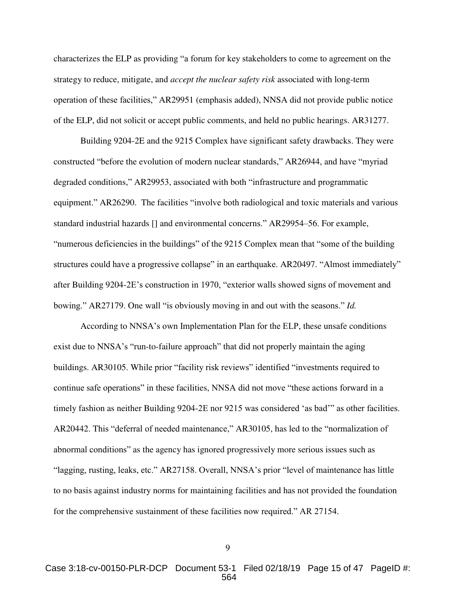characterizes the ELP as providing "a forum for key stakeholders to come to agreement on the strategy to reduce, mitigate, and *accept the nuclear safety risk* associated with long-term operation of these facilities," AR29951 (emphasis added), NNSA did not provide public notice of the ELP, did not solicit or accept public comments, and held no public hearings. AR31277.

Building 9204-2E and the 9215 Complex have significant safety drawbacks. They were constructed "before the evolution of modern nuclear standards," AR26944, and have "myriad degraded conditions," AR29953, associated with both "infrastructure and programmatic equipment." AR26290. The facilities "involve both radiological and toxic materials and various standard industrial hazards [] and environmental concerns." AR29954–56. For example, "numerous deficiencies in the buildings" of the 9215 Complex mean that "some of the building structures could have a progressive collapse" in an earthquake. AR20497. "Almost immediately" after Building 9204-2E's construction in 1970, "exterior walls showed signs of movement and bowing." AR27179. One wall "is obviously moving in and out with the seasons." *Id.* 

According to NNSA's own Implementation Plan for the ELP, these unsafe conditions exist due to NNSA's "run-to-failure approach" that did not properly maintain the aging buildings. AR30105. While prior "facility risk reviews" identified "investments required to continue safe operations" in these facilities, NNSA did not move "these actions forward in a timely fashion as neither Building 9204-2E nor 9215 was considered 'as bad'" as other facilities. AR20442. This "deferral of needed maintenance," AR30105, has led to the "normalization of abnormal conditions" as the agency has ignored progressively more serious issues such as "lagging, rusting, leaks, etc." AR27158. Overall, NNSA's prior "level of maintenance has little to no basis against industry norms for maintaining facilities and has not provided the foundation for the comprehensive sustainment of these facilities now required." AR 27154.

9

Case 3:18-cv-00150-PLR-DCP Document 53-1 Filed 02/18/19 Page 15 of 47 PageID #: 564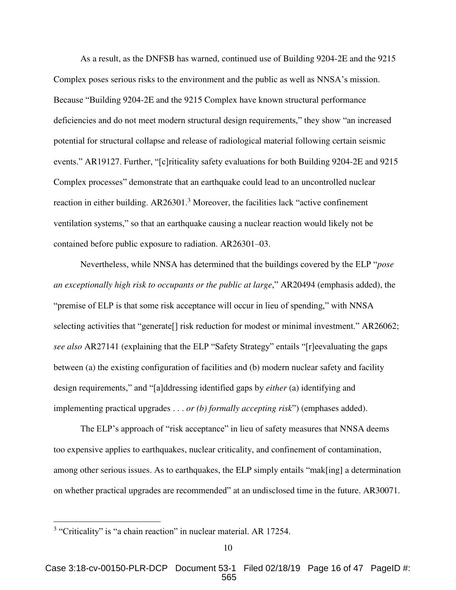As a result, as the DNFSB has warned, continued use of Building 9204-2E and the 9215 Complex poses serious risks to the environment and the public as well as NNSA's mission. Because "Building 9204-2E and the 9215 Complex have known structural performance deficiencies and do not meet modern structural design requirements," they show "an increased potential for structural collapse and release of radiological material following certain seismic events." AR19127. Further, "[c]riticality safety evaluations for both Building 9204-2E and 9215 Complex processes" demonstrate that an earthquake could lead to an uncontrolled nuclear reaction in either building. AR26301.<sup>3</sup> Moreover, the facilities lack "active confinement ventilation systems," so that an earthquake causing a nuclear reaction would likely not be contained before public exposure to radiation. AR26301–03.

Nevertheless, while NNSA has determined that the buildings covered by the ELP "*pose an exceptionally high risk to occupants or the public at large*," AR20494 (emphasis added), the "premise of ELP is that some risk acceptance will occur in lieu of spending," with NNSA selecting activities that "generate. risk reduction for modest or minimal investment." AR26062; *see also* AR27141 (explaining that the ELP "Safety Strategy" entails "[r]eevaluating the gaps between (a) the existing configuration of facilities and (b) modern nuclear safety and facility design requirements," and "[a]ddressing identified gaps by *either* (a) identifying and implementing practical upgrades . . . *or (b) formally accepting risk*") (emphases added).

The ELP's approach of "risk acceptance" in lieu of safety measures that NNSA deems too expensive applies to earthquakes, nuclear criticality, and confinement of contamination, among other serious issues. As to earthquakes, the ELP simply entails "mak[ing] a determination on whether practical upgrades are recommended" at an undisclosed time in the future. AR30071.

<sup>&</sup>lt;sup>3</sup> "Criticality" is "a chain reaction" in nuclear material. AR 17254.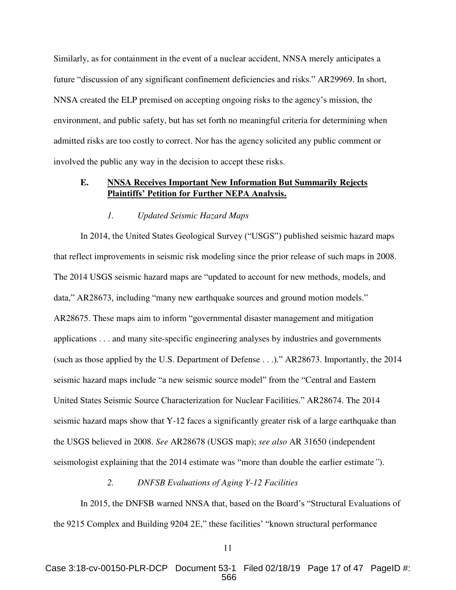Similarly, as for containment in the event of a nuclear accident, NNSA merely anticipates a future "discussion of any significant confinement deficiencies and risks." AR29969. In short, NNSA created the ELP premised on accepting ongoing risks to the agency's mission, the environment, and public safety, but has set forth no meaningful criteria for determining when admitted risks are too costly to correct. Nor has the agency solicited any public comment or involved the public any way in the decision to accept these risks.

# <span id="page-16-0"></span>**E. NNSA Receives Important New Information But Summarily Rejects Plaintiffs' Petition for Further NEPA Analysis.**

#### *1. Updated Seismic Hazard Maps*

<span id="page-16-1"></span>In 2014, the United States Geological Survey ("USGS") published seismic hazard maps that reflect improvements in seismic risk modeling since the prior release of such maps in 2008. The 2014 USGS seismic hazard maps are "updated to account for new methods, models, and data," AR28673, including "many new earthquake sources and ground motion models." AR28675. These maps aim to inform "governmental disaster management and mitigation applications . . . and many site-specific engineering analyses by industries and governments (such as those applied by the U.S. Department of Defense . . .)." AR28673. Importantly, the 2014 seismic hazard maps include "a new seismic source model" from the "Central and Eastern United States Seismic Source Characterization for Nuclear Facilities." AR28674. The 2014 seismic hazard maps show that Y-12 faces a significantly greater risk of a large earthquake than the USGS believed in 2008. *See* AR28678 (USGS map); *see also* AR 31650 (independent seismologist explaining that the 2014 estimate was "more than double the earlier estimate*"*).

#### *2. DNFSB Evaluations of Aging Y-12 Facilities*

<span id="page-16-2"></span>In 2015, the DNFSB warned NNSA that, based on the Board's "Structural Evaluations of the 9215 Complex and Building 9204 2E," these facilities' "known structural performance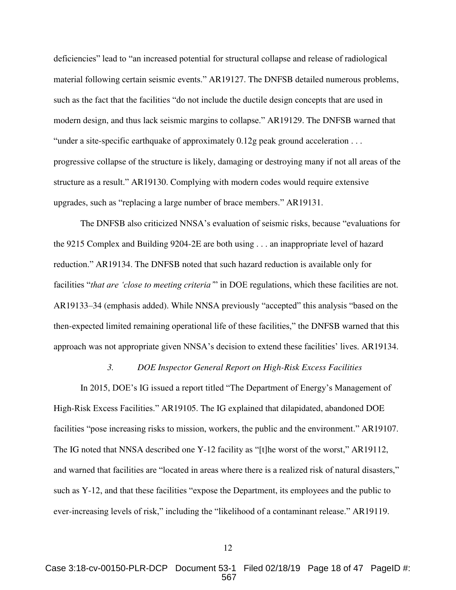deficiencies" lead to "an increased potential for structural collapse and release of radiological material following certain seismic events." AR19127. The DNFSB detailed numerous problems, such as the fact that the facilities "do not include the ductile design concepts that are used in modern design, and thus lack seismic margins to collapse." AR19129. The DNFSB warned that "under a site-specific earthquake of approximately  $0.12g$  peak ground acceleration ... progressive collapse of the structure is likely, damaging or destroying many if not all areas of the structure as a result." AR19130. Complying with modern codes would require extensive upgrades, such as "replacing a large number of brace members." AR19131.

The DNFSB also criticized NNSA's evaluation of seismic risks, because "evaluations for the 9215 Complex and Building 9204-2E are both using . . . an inappropriate level of hazard reduction." AR19134. The DNFSB noted that such hazard reduction is available only for facilities "*that are 'close to meeting criteria'*" in DOE regulations, which these facilities are not. AR19133–34 (emphasis added). While NNSA previously "accepted" this analysis "based on the then-expected limited remaining operational life of these facilities," the DNFSB warned that this approach was not appropriate given NNSA's decision to extend these facilities' lives. AR19134.

#### *3. DOE Inspector General Report on High-Risk Excess Facilities*

<span id="page-17-0"></span>In 2015, DOE's IG issued a report titled "The Department of Energy's Management of High-Risk Excess Facilities." AR19105. The IG explained that dilapidated, abandoned DOE facilities "pose increasing risks to mission, workers, the public and the environment." AR19107. The IG noted that NNSA described one Y-12 facility as "[t]he worst of the worst," AR19112, and warned that facilities are "located in areas where there is a realized risk of natural disasters," such as Y-12, and that these facilities "expose the Department, its employees and the public to ever-increasing levels of risk," including the "likelihood of a contaminant release." AR19119.

Case 3:18-cv-00150-PLR-DCP Document 53-1 Filed 02/18/19 Page 18 of 47 PageID #: 567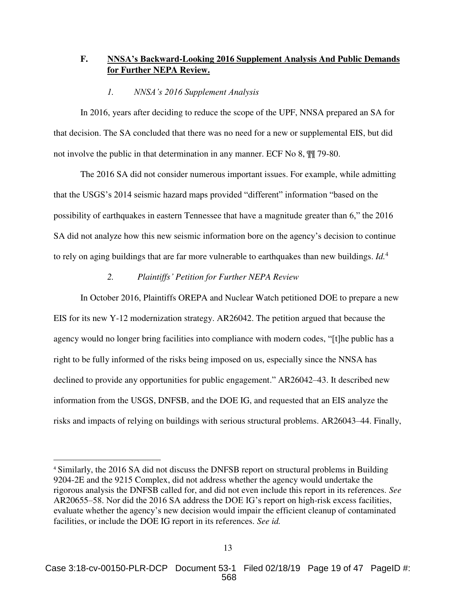# <span id="page-18-0"></span>**F. NNSA's Backward-Looking 2016 Supplement Analysis And Public Demands for Further NEPA Review.**

## *1. NNSA's 2016 Supplement Analysis*

<span id="page-18-1"></span>In 2016, years after deciding to reduce the scope of the UPF, NNSA prepared an SA for that decision. The SA concluded that there was no need for a new or supplemental EIS, but did not involve the public in that determination in any manner. ECF No 8,  $\frac{10}{17}$  79-80.

The 2016 SA did not consider numerous important issues. For example, while admitting that the USGS's 2014 seismic hazard maps provided "different" information "based on the possibility of earthquakes in eastern Tennessee that have a magnitude greater than 6," the 2016 SA did not analyze how this new seismic information bore on the agency's decision to continue to rely on aging buildings that are far more vulnerable to earthquakes than new buildings. *Id.*<sup>4</sup>

## *2. Plaintiffs' Petition for Further NEPA Review*

<span id="page-18-2"></span>In October 2016, Plaintiffs OREPA and Nuclear Watch petitioned DOE to prepare a new EIS for its new Y-12 modernization strategy. AR26042. The petition argued that because the agency would no longer bring facilities into compliance with modern codes, "[t]he public has a right to be fully informed of the risks being imposed on us, especially since the NNSA has declined to provide any opportunities for public engagement." AR26042–43. It described new information from the USGS, DNFSB, and the DOE IG, and requested that an EIS analyze the risks and impacts of relying on buildings with serious structural problems. AR26043–44. Finally,

<sup>4</sup> Similarly, the 2016 SA did not discuss the DNFSB report on structural problems in Building 9204-2E and the 9215 Complex, did not address whether the agency would undertake the rigorous analysis the DNFSB called for, and did not even include this report in its references. *See*  AR20655–58. Nor did the 2016 SA address the DOE IG's report on high-risk excess facilities, evaluate whether the agency's new decision would impair the efficient cleanup of contaminated facilities, or include the DOE IG report in its references. *See id.*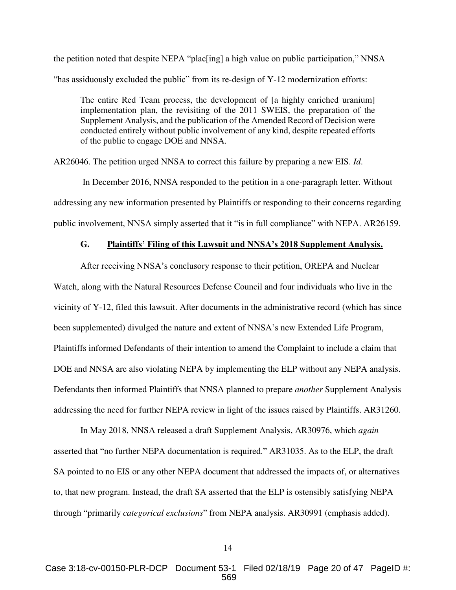the petition noted that despite NEPA "plac[ing] a high value on public participation," NNSA "has assiduously excluded the public" from its re-design of Y-12 modernization efforts:

The entire Red Team process, the development of [a highly enriched uranium] implementation plan, the revisiting of the 2011 SWEIS, the preparation of the Supplement Analysis, and the publication of the Amended Record of Decision were conducted entirely without public involvement of any kind, despite repeated efforts of the public to engage DOE and NNSA.

AR26046. The petition urged NNSA to correct this failure by preparing a new EIS. *Id*.

 In December 2016, NNSA responded to the petition in a one-paragraph letter. Without addressing any new information presented by Plaintiffs or responding to their concerns regarding public involvement, NNSA simply asserted that it "is in full compliance" with NEPA. AR26159.

#### **G. Plaintiffs' Filing of this Lawsuit and NNSA's 2018 Supplement Analysis.**

<span id="page-19-0"></span>After receiving NNSA's conclusory response to their petition, OREPA and Nuclear Watch, along with the Natural Resources Defense Council and four individuals who live in the vicinity of Y-12, filed this lawsuit. After documents in the administrative record (which has since been supplemented) divulged the nature and extent of NNSA's new Extended Life Program, Plaintiffs informed Defendants of their intention to amend the Complaint to include a claim that DOE and NNSA are also violating NEPA by implementing the ELP without any NEPA analysis. Defendants then informed Plaintiffs that NNSA planned to prepare *another* Supplement Analysis addressing the need for further NEPA review in light of the issues raised by Plaintiffs. AR31260.

In May 2018, NNSA released a draft Supplement Analysis, AR30976, which *again* asserted that "no further NEPA documentation is required." AR31035. As to the ELP, the draft SA pointed to no EIS or any other NEPA document that addressed the impacts of, or alternatives to, that new program. Instead, the draft SA asserted that the ELP is ostensibly satisfying NEPA through "primarily *categorical exclusions*" from NEPA analysis. AR30991 (emphasis added).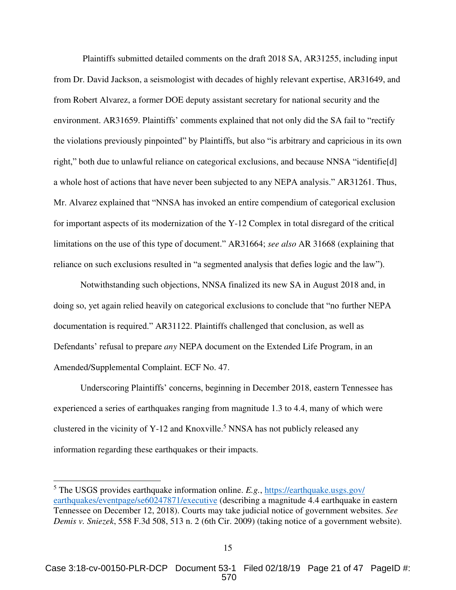Plaintiffs submitted detailed comments on the draft 2018 SA, AR31255, including input from Dr. David Jackson, a seismologist with decades of highly relevant expertise, AR31649, and from Robert Alvarez, a former DOE deputy assistant secretary for national security and the environment. AR31659. Plaintiffs' comments explained that not only did the SA fail to "rectify the violations previously pinpointed" by Plaintiffs, but also "is arbitrary and capricious in its own right," both due to unlawful reliance on categorical exclusions, and because NNSA "identifie[d] a whole host of actions that have never been subjected to any NEPA analysis." AR31261. Thus, Mr. Alvarez explained that "NNSA has invoked an entire compendium of categorical exclusion for important aspects of its modernization of the Y-12 Complex in total disregard of the critical limitations on the use of this type of document." AR31664; *see also* AR 31668 (explaining that reliance on such exclusions resulted in "a segmented analysis that defies logic and the law").

Notwithstanding such objections, NNSA finalized its new SA in August 2018 and, in doing so, yet again relied heavily on categorical exclusions to conclude that "no further NEPA documentation is required." AR31122. Plaintiffs challenged that conclusion, as well as Defendants' refusal to prepare *any* NEPA document on the Extended Life Program, in an Amended/Supplemental Complaint. ECF No. 47.

Underscoring Plaintiffs' concerns, beginning in December 2018, eastern Tennessee has experienced a series of earthquakes ranging from magnitude 1.3 to 4.4, many of which were clustered in the vicinity of Y-12 and Knoxville.<sup>5</sup> NNSA has not publicly released any information regarding these earthquakes or their impacts.

<span id="page-20-0"></span><sup>&</sup>lt;sup>5</sup> The USGS provides earthquake information online. *E.g.*, [https://earthquake.usgs.gov/](https://earthquake.usgs.gov/%20earthquakes/eventpage/se60247871/executive) [earthquakes/eventpage/se60247871/executive](https://earthquake.usgs.gov/%20earthquakes/eventpage/se60247871/executive) (describing a magnitude 4.4 earthquake in eastern Tennessee on December 12, 2018). Courts may take judicial notice of government websites. *See Demis v. Sniezek*, 558 F.3d 508, 513 n. 2 (6th Cir. 2009) (taking notice of a government website).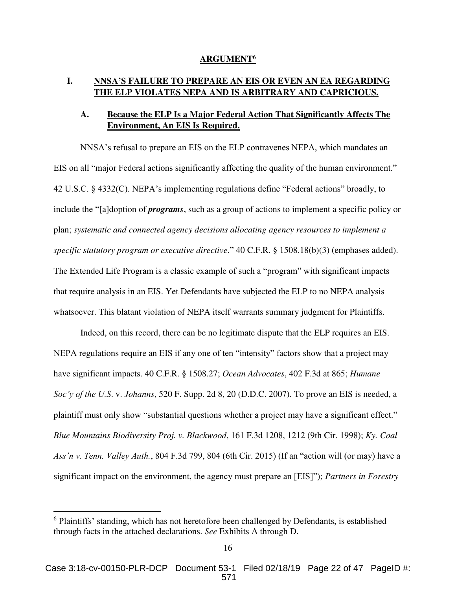#### <span id="page-21-8"></span>**ARGUMENT<sup>6</sup>**

## <span id="page-21-1"></span><span id="page-21-0"></span>**I. NNSA'S FAILURE TO PREPARE AN EIS OR EVEN AN EA REGARDING THE ELP VIOLATES NEPA AND IS ARBITRARY AND CAPRICIOUS.**

# <span id="page-21-2"></span>**A. Because the ELP Is a Major Federal Action That Significantly Affects The Environment, An EIS Is Required.**

NNSA's refusal to prepare an EIS on the ELP contravenes NEPA, which mandates an EIS on all "major Federal actions significantly affecting the quality of the human environment." 42 U.S.C. § 4332(C). NEPA's implementing regulations define "Federal actions" broadly, to include the "[a]doption of *programs*, such as a group of actions to implement a specific policy or plan; *systematic and connected agency decisions allocating agency resources to implement a specific statutory program or executive directive*." 40 C.F.R. § 1508.18(b)(3) (emphases added). The Extended Life Program is a classic example of such a "program" with significant impacts that require analysis in an EIS. Yet Defendants have subjected the ELP to no NEPA analysis whatsoever. This blatant violation of NEPA itself warrants summary judgment for Plaintiffs.

<span id="page-21-9"></span><span id="page-21-6"></span><span id="page-21-4"></span> Indeed, on this record, there can be no legitimate dispute that the ELP requires an EIS. NEPA regulations require an EIS if any one of ten "intensity" factors show that a project may have significant impacts. 40 C.F.R. § 1508.27; *Ocean Advocates*, 402 F.3d at 865; *Humane Soc'y of the U.S*. v. *Johanns*, 520 F. Supp. 2d 8, 20 (D.D.C. 2007). To prove an EIS is needed, a plaintiff must only show "substantial questions whether a project may have a significant effect." *Blue Mountains Biodiversity Proj. v. Blackwood*, 161 F.3d 1208, 1212 (9th Cir. 1998); *Ky. Coal Ass'n v. Tenn. Valley Auth.*, 804 F.3d 799, 804 (6th Cir. 2015) (If an "action will (or may) have a significant impact on the environment, the agency must prepare an [EIS]"); *Partners in Forestry* 

<span id="page-21-7"></span><span id="page-21-5"></span><span id="page-21-3"></span><sup>&</sup>lt;sup>6</sup> Plaintiffs' standing, which has not heretofore been challenged by Defendants, is established through facts in the attached declarations. *See* Exhibits A through D.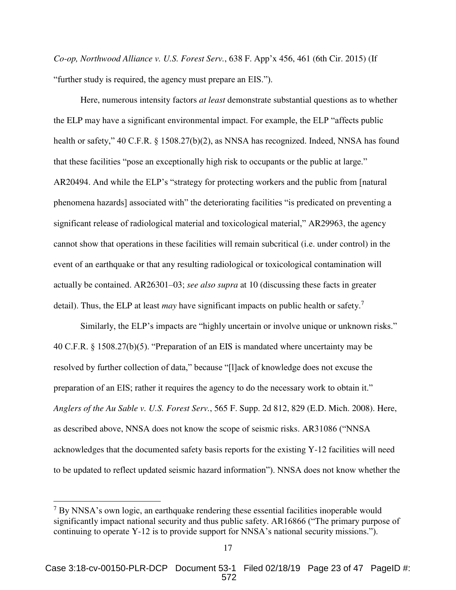*Co-op, Northwood Alliance v. U.S. Forest Serv.*, 638 F. App'x 456, 461 (6th Cir. 2015) (If "further study is required, the agency must prepare an EIS.").

Here, numerous intensity factors *at least* demonstrate substantial questions as to whether the ELP may have a significant environmental impact. For example, the ELP "affects public health or safety," 40 C.F.R. § 1508.27(b)(2), as NNSA has recognized. Indeed, NNSA has found that these facilities "pose an exceptionally high risk to occupants or the public at large." AR20494. And while the ELP's "strategy for protecting workers and the public from [natural phenomena hazards] associated with" the deteriorating facilities "is predicated on preventing a significant release of radiological material and toxicological material," AR29963, the agency cannot show that operations in these facilities will remain subcritical (i.e. under control) in the event of an earthquake or that any resulting radiological or toxicological contamination will actually be contained. AR26301–03; *see also supra* at 10 (discussing these facts in greater detail). Thus, the ELP at least *may* have significant impacts on public health or safety.<sup>7</sup>

<span id="page-22-0"></span>Similarly, the ELP's impacts are "highly uncertain or involve unique or unknown risks." 40 C.F.R. § 1508.27(b)(5). "Preparation of an EIS is mandated where uncertainty may be resolved by further collection of data," because "[l]ack of knowledge does not excuse the preparation of an EIS; rather it requires the agency to do the necessary work to obtain it." *Anglers of the Au Sable v. U.S. Forest Serv.*, 565 F. Supp. 2d 812, 829 (E.D. Mich. 2008). Here, as described above, NNSA does not know the scope of seismic risks. AR31086 ("NNSA acknowledges that the documented safety basis reports for the existing Y-12 facilities will need to be updated to reflect updated seismic hazard information"). NNSA does not know whether the

 $7$  By NNSA's own logic, an earthquake rendering these essential facilities inoperable would significantly impact national security and thus public safety. AR16866 ("The primary purpose of continuing to operate Y-12 is to provide support for NNSA's national security missions.").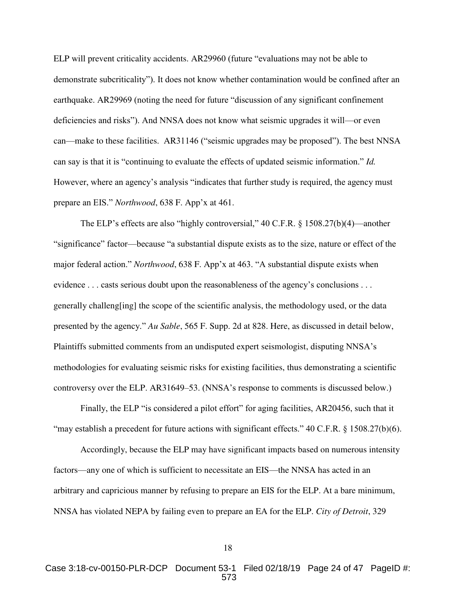ELP will prevent criticality accidents. AR29960 (future "evaluations may not be able to demonstrate subcriticality"). It does not know whether contamination would be confined after an earthquake. AR29969 (noting the need for future "discussion of any significant confinement deficiencies and risks"). And NNSA does not know what seismic upgrades it will—or even can—make to these facilities. AR31146 ("seismic upgrades may be proposed"). The best NNSA can say is that it is "continuing to evaluate the effects of updated seismic information." *Id.*  However, where an agency's analysis "indicates that further study is required, the agency must prepare an EIS." *Northwood*, 638 F. App'x at 461.

<span id="page-23-1"></span><span id="page-23-0"></span>The ELP's effects are also "highly controversial," 40 C.F.R. § 1508.27(b)(4)—another "significance" factor—because "a substantial dispute exists as to the size, nature or effect of the major federal action." *Northwood*, 638 F. App'x at 463. "A substantial dispute exists when evidence . . . casts serious doubt upon the reasonableness of the agency's conclusions . . . generally challeng[ing] the scope of the scientific analysis, the methodology used, or the data presented by the agency." *Au Sable*, 565 F. Supp. 2d at 828. Here, as discussed in detail below, Plaintiffs submitted comments from an undisputed expert seismologist, disputing NNSA's methodologies for evaluating seismic risks for existing facilities, thus demonstrating a scientific controversy over the ELP. AR31649–53. (NNSA's response to comments is discussed below.)

Finally, the ELP "is considered a pilot effort" for aging facilities, AR20456, such that it "may establish a precedent for future actions with significant effects." 40 C.F.R. § 1508.27(b)(6).

<span id="page-23-2"></span>Accordingly, because the ELP may have significant impacts based on numerous intensity factors—any one of which is sufficient to necessitate an EIS—the NNSA has acted in an arbitrary and capricious manner by refusing to prepare an EIS for the ELP. At a bare minimum, NNSA has violated NEPA by failing even to prepare an EA for the ELP. *City of Detroit*, 329

Case 3:18-cv-00150-PLR-DCP Document 53-1 Filed 02/18/19 Page 24 of 47 PageID #: 573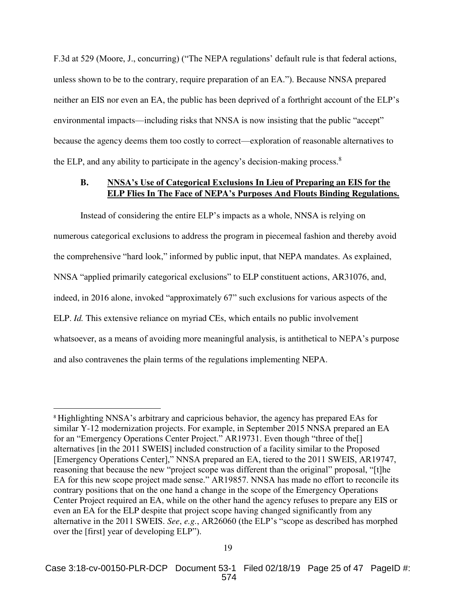F.3d at 529 (Moore, J., concurring) ("The NEPA regulations' default rule is that federal actions, unless shown to be to the contrary, require preparation of an EA."). Because NNSA prepared neither an EIS nor even an EA, the public has been deprived of a forthright account of the ELP's environmental impacts—including risks that NNSA is now insisting that the public "accept" because the agency deems them too costly to correct—exploration of reasonable alternatives to the ELP, and any ability to participate in the agency's decision-making process. $8$ 

# <span id="page-24-0"></span>**B. NNSA's Use of Categorical Exclusions In Lieu of Preparing an EIS for the ELP Flies In The Face of NEPA's Purposes And Flouts Binding Regulations.**

Instead of considering the entire ELP's impacts as a whole, NNSA is relying on numerous categorical exclusions to address the program in piecemeal fashion and thereby avoid the comprehensive "hard look," informed by public input, that NEPA mandates. As explained, NNSA "applied primarily categorical exclusions" to ELP constituent actions, AR31076, and, indeed, in 2016 alone, invoked "approximately 67" such exclusions for various aspects of the ELP. *Id.* This extensive reliance on myriad CEs, which entails no public involvement whatsoever, as a means of avoiding more meaningful analysis, is antithetical to NEPA's purpose and also contravenes the plain terms of the regulations implementing NEPA.

<sup>8</sup> Highlighting NNSA's arbitrary and capricious behavior, the agency has prepared EAs for similar Y-12 modernization projects. For example, in September 2015 NNSA prepared an EA for an "Emergency Operations Center Project." AR19731. Even though "three of the[] alternatives [in the 2011 SWEIS] included construction of a facility similar to the Proposed [Emergency Operations Center]," NNSA prepared an EA, tiered to the 2011 SWEIS, AR19747, reasoning that because the new "project scope was different than the original" proposal, "[t]he EA for this new scope project made sense." AR19857. NNSA has made no effort to reconcile its contrary positions that on the one hand a change in the scope of the Emergency Operations Center Project required an EA, while on the other hand the agency refuses to prepare any EIS or even an EA for the ELP despite that project scope having changed significantly from any alternative in the 2011 SWEIS. *See*, *e.g.*, AR26060 (the ELP's "scope as described has morphed over the [first] year of developing ELP").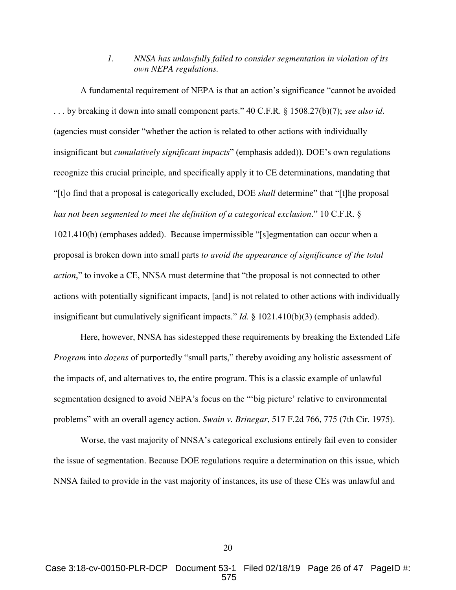# <span id="page-25-2"></span>*1. NNSA has unlawfully failed to consider segmentation in violation of its own NEPA regulations.*

<span id="page-25-0"></span>A fundamental requirement of NEPA is that an action's significance "cannot be avoided . . . by breaking it down into small component parts." 40 C.F.R. § 1508.27(b)(7); *see also id*. (agencies must consider "whether the action is related to other actions with individually insignificant but *cumulatively significant impacts*" (emphasis added)). DOE's own regulations recognize this crucial principle, and specifically apply it to CE determinations, mandating that "[t]o find that a proposal is categorically excluded, DOE *shall* determine" that "[t]he proposal *has not been segmented to meet the definition of a categorical exclusion*." 10 C.F.R. § 1021.410(b) (emphases added). Because impermissible "[s]egmentation can occur when a proposal is broken down into small parts *to avoid the appearance of significance of the total action*," to invoke a CE, NNSA must determine that "the proposal is not connected to other actions with potentially significant impacts, [and] is not related to other actions with individually insignificant but cumulatively significant impacts." *Id.* § 1021.410(b)(3) (emphasis added).

Here, however, NNSA has sidestepped these requirements by breaking the Extended Life *Program* into *dozens* of purportedly "small parts," thereby avoiding any holistic assessment of the impacts of, and alternatives to, the entire program. This is a classic example of unlawful segmentation designed to avoid NEPA's focus on the "'big picture' relative to environmental problems" with an overall agency action. *Swain v. Brinegar*, 517 F.2d 766, 775 (7th Cir. 1975).

Worse, the vast majority of NNSA's categorical exclusions entirely fail even to consider the issue of segmentation. Because DOE regulations require a determination on this issue, which NNSA failed to provide in the vast majority of instances, its use of these CEs was unlawful and

<span id="page-25-1"></span>20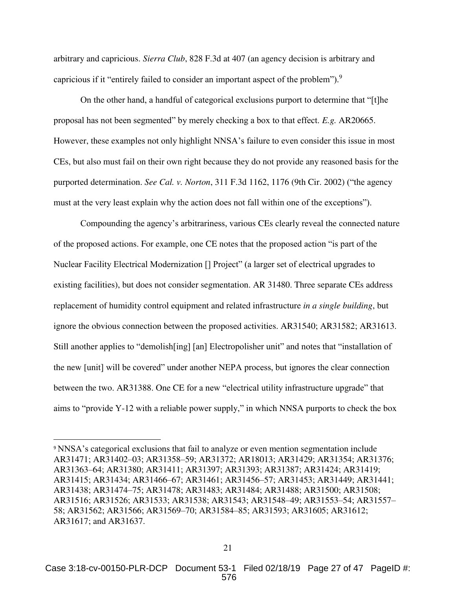arbitrary and capricious. *Sierra Club*, 828 F.3d at 407 (an agency decision is arbitrary and capricious if it "entirely failed to consider an important aspect of the problem").<sup>9</sup>

On the other hand, a handful of categorical exclusions purport to determine that "[t]he proposal has not been segmented" by merely checking a box to that effect. *E.g.* AR20665. However, these examples not only highlight NNSA's failure to even consider this issue in most CEs, but also must fail on their own right because they do not provide any reasoned basis for the purported determination. *See Cal. v. Norton*, 311 F.3d 1162, 1176 (9th Cir. 2002) ("the agency must at the very least explain why the action does not fall within one of the exceptions").

<span id="page-26-0"></span>Compounding the agency's arbitrariness, various CEs clearly reveal the connected nature of the proposed actions. For example, one CE notes that the proposed action "is part of the Nuclear Facility Electrical Modernization [] Project" (a larger set of electrical upgrades to existing facilities), but does not consider segmentation. AR 31480. Three separate CEs address replacement of humidity control equipment and related infrastructure *in a single building*, but ignore the obvious connection between the proposed activities. AR31540; AR31582; AR31613. Still another applies to "demolish[ing] [an] Electropolisher unit" and notes that "installation of the new [unit] will be covered" under another NEPA process, but ignores the clear connection between the two. AR31388. One CE for a new "electrical utility infrastructure upgrade" that aims to "provide Y-12 with a reliable power supply," in which NNSA purports to check the box

<sup>9</sup> NNSA's categorical exclusions that fail to analyze or even mention segmentation include AR31471; AR31402–03; AR31358–59; AR31372; AR18013; AR31429; AR31354; AR31376; AR31363–64; AR31380; AR31411; AR31397; AR31393; AR31387; AR31424; AR31419; AR31415; AR31434; AR31466–67; AR31461; AR31456–57; AR31453; AR31449; AR31441; AR31438; AR31474–75; AR31478; AR31483; AR31484; AR31488; AR31500; AR31508; AR31516; AR31526; AR31533; AR31538; AR31543; AR31548–49; AR31553–54; AR31557– 58; AR31562; AR31566; AR31569–70; AR31584–85; AR31593; AR31605; AR31612; AR31617; and AR31637.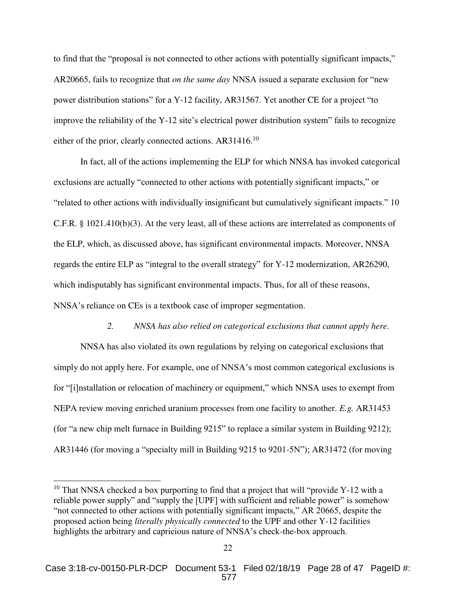to find that the "proposal is not connected to other actions with potentially significant impacts," AR20665, fails to recognize that *on the same day* NNSA issued a separate exclusion for "new power distribution stations" for a Y-12 facility, AR31567. Yet another CE for a project "to improve the reliability of the Y-12 site's electrical power distribution system" fails to recognize either of the prior, clearly connected actions. AR31416.<sup>10</sup>

In fact, all of the actions implementing the ELP for which NNSA has invoked categorical exclusions are actually "connected to other actions with potentially significant impacts," or "related to other actions with individually insignificant but cumulatively significant impacts." 10 C.F.R. § 1021.410(b)(3). At the very least, all of these actions are interrelated as components of the ELP, which, as discussed above, has significant environmental impacts. Moreover, NNSA regards the entire ELP as "integral to the overall strategy" for Y-12 modernization, AR26290, which indisputably has significant environmental impacts. Thus, for all of these reasons, NNSA's reliance on CEs is a textbook case of improper segmentation.

#### *2. NNSA has also relied on categorical exclusions that cannot apply here.*

<span id="page-27-0"></span>NNSA has also violated its own regulations by relying on categorical exclusions that simply do not apply here. For example, one of NNSA's most common categorical exclusions is for "[i]nstallation or relocation of machinery or equipment," which NNSA uses to exempt from NEPA review moving enriched uranium processes from one facility to another. *E.g.* AR31453 (for "a new chip melt furnace in Building 9215" to replace a similar system in Building 9212); AR31446 (for moving a "specialty mill in Building 9215 to 9201-5N"); AR31472 (for moving

<sup>&</sup>lt;sup>10</sup> That NNSA checked a box purporting to find that a project that will "provide Y-12 with a reliable power supply" and "supply the [UPF] with sufficient and reliable power" is somehow "not connected to other actions with potentially significant impacts," AR 20665, despite the proposed action being *literally physically connected* to the UPF and other Y-12 facilities highlights the arbitrary and capricious nature of NNSA's check-the-box approach.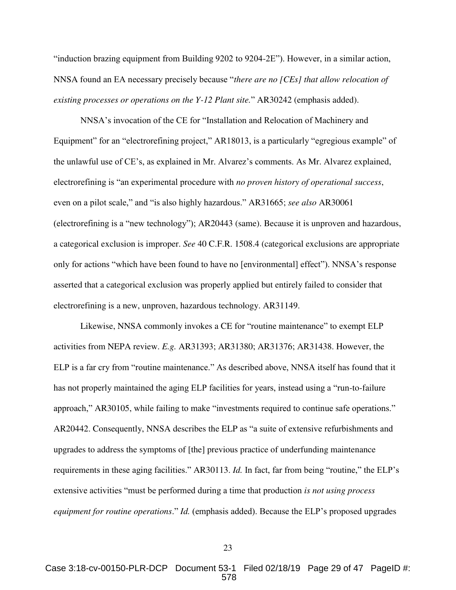"induction brazing equipment from Building 9202 to 9204-2E"). However, in a similar action, NNSA found an EA necessary precisely because "*there are no [CEs] that allow relocation of existing processes or operations on the Y-12 Plant site.*" AR30242 (emphasis added).

NNSA's invocation of the CE for "Installation and Relocation of Machinery and Equipment" for an "electrorefining project," AR18013, is a particularly "egregious example" of the unlawful use of CE's, as explained in Mr. Alvarez's comments. As Mr. Alvarez explained, electrorefining is "an experimental procedure with *no proven history of operational success*, even on a pilot scale," and "is also highly hazardous." AR31665; *see also* AR30061 (electrorefining is a "new technology"); AR20443 (same). Because it is unproven and hazardous, a categorical exclusion is improper. *See* 40 C.F.R. 1508.4 (categorical exclusions are appropriate only for actions "which have been found to have no [environmental] effect"). NNSA's response asserted that a categorical exclusion was properly applied but entirely failed to consider that electrorefining is a new, unproven, hazardous technology. AR31149.

<span id="page-28-0"></span>Likewise, NNSA commonly invokes a CE for "routine maintenance" to exempt ELP activities from NEPA review. *E.g.* AR31393; AR31380; AR31376; AR31438. However, the ELP is a far cry from "routine maintenance." As described above, NNSA itself has found that it has not properly maintained the aging ELP facilities for years, instead using a "run-to-failure approach," AR30105, while failing to make "investments required to continue safe operations." AR20442. Consequently, NNSA describes the ELP as "a suite of extensive refurbishments and upgrades to address the symptoms of [the] previous practice of underfunding maintenance requirements in these aging facilities." AR30113. *Id.* In fact, far from being "routine," the ELP's extensive activities "must be performed during a time that production *is not using process equipment for routine operations*." *Id.* (emphasis added). Because the ELP's proposed upgrades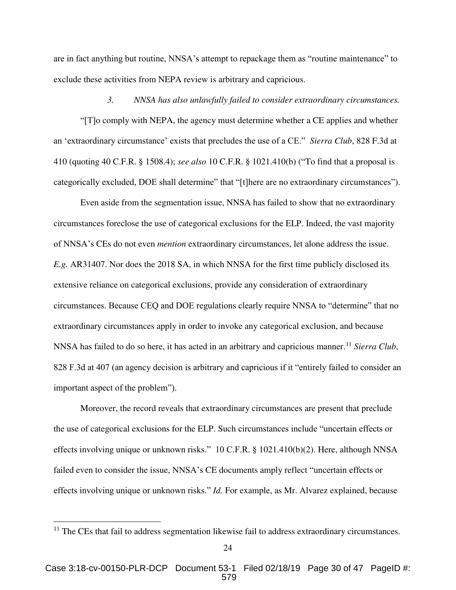are in fact anything but routine, NNSA's attempt to repackage them as "routine maintenance" to exclude these activities from NEPA review is arbitrary and capricious.

#### <span id="page-29-1"></span>*3. NNSA has also unlawfully failed to consider extraordinary circumstances.*

<span id="page-29-0"></span>"[T]o comply with NEPA, the agency must determine whether a CE applies and whether an 'extraordinary circumstance' exists that precludes the use of a CE." *Sierra Club*, 828 F.3d at 410 (quoting 40 C.F.R. § 1508.4); *see also* 10 C.F.R. § 1021.410(b) ("To find that a proposal is categorically excluded, DOE shall determine" that "[t]here are no extraordinary circumstances").

Even aside from the segmentation issue, NNSA has failed to show that no extraordinary circumstances foreclose the use of categorical exclusions for the ELP. Indeed, the vast majority of NNSA's CEs do not even *mention* extraordinary circumstances, let alone address the issue. *E.g.* AR31407. Nor does the 2018 SA, in which NNSA for the first time publicly disclosed its extensive reliance on categorical exclusions, provide any consideration of extraordinary circumstances. Because CEQ and DOE regulations clearly require NNSA to "determine" that no extraordinary circumstances apply in order to invoke any categorical exclusion, and because NNSA has failed to do so here, it has acted in an arbitrary and capricious manner.<sup>11</sup> Sierra Club, 828 F.3d at 407 (an agency decision is arbitrary and capricious if it "entirely failed to consider an important aspect of the problem").

Moreover, the record reveals that extraordinary circumstances are present that preclude the use of categorical exclusions for the ELP. Such circumstances include "uncertain effects or effects involving unique or unknown risks." 10 C.F.R. § 1021.410(b)(2). Here, although NNSA failed even to consider the issue, NNSA's CE documents amply reflect "uncertain effects or effects involving unique or unknown risks." *Id.* For example, as Mr. Alvarez explained, because

 $11$  The CEs that fail to address segmentation likewise fail to address extraordinary circumstances.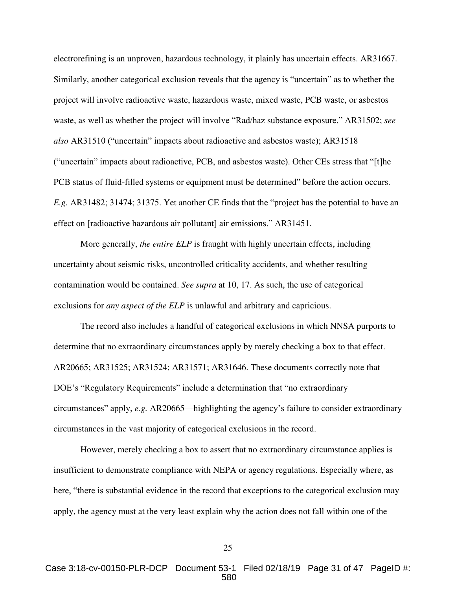electrorefining is an unproven, hazardous technology, it plainly has uncertain effects. AR31667. Similarly, another categorical exclusion reveals that the agency is "uncertain" as to whether the project will involve radioactive waste, hazardous waste, mixed waste, PCB waste, or asbestos waste, as well as whether the project will involve "Rad/haz substance exposure." AR31502; *see also* AR31510 ("uncertain" impacts about radioactive and asbestos waste); AR31518 ("uncertain" impacts about radioactive, PCB, and asbestos waste). Other CEs stress that "[t]he PCB status of fluid-filled systems or equipment must be determined" before the action occurs. *E.g.* AR31482; 31474; 31375. Yet another CE finds that the "project has the potential to have an effect on [radioactive hazardous air pollutant] air emissions." AR31451.

More generally, *the entire ELP* is fraught with highly uncertain effects, including uncertainty about seismic risks, uncontrolled criticality accidents, and whether resulting contamination would be contained. *See supra* at 10, 17. As such, the use of categorical exclusions for *any aspect of the ELP* is unlawful and arbitrary and capricious.

The record also includes a handful of categorical exclusions in which NNSA purports to determine that no extraordinary circumstances apply by merely checking a box to that effect. AR20665; AR31525; AR31524; AR31571; AR31646. These documents correctly note that DOE's "Regulatory Requirements" include a determination that "no extraordinary circumstances" apply, *e.g.* AR20665—highlighting the agency's failure to consider extraordinary circumstances in the vast majority of categorical exclusions in the record.

However, merely checking a box to assert that no extraordinary circumstance applies is insufficient to demonstrate compliance with NEPA or agency regulations. Especially where, as here, "there is substantial evidence in the record that exceptions to the categorical exclusion may apply, the agency must at the very least explain why the action does not fall within one of the

Case 3:18-cv-00150-PLR-DCP Document 53-1 Filed 02/18/19 Page 31 of 47 PageID #: 580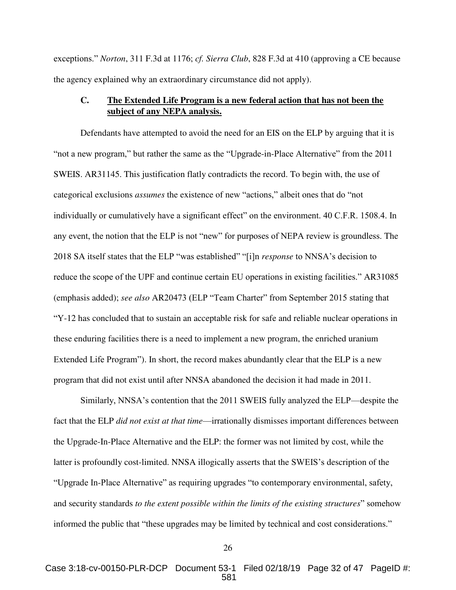exceptions." *Norton*, 311 F.3d at 1176; *cf. Sierra Club*, 828 F.3d at 410 (approving a CE because the agency explained why an extraordinary circumstance did not apply).

## <span id="page-31-2"></span><span id="page-31-1"></span><span id="page-31-0"></span>**C. The Extended Life Program is a new federal action that has not been the subject of any NEPA analysis.**

Defendants have attempted to avoid the need for an EIS on the ELP by arguing that it is "not a new program," but rather the same as the "Upgrade-in-Place Alternative" from the 2011 SWEIS. AR31145. This justification flatly contradicts the record. To begin with, the use of categorical exclusions *assumes* the existence of new "actions," albeit ones that do "not individually or cumulatively have a significant effect" on the environment. 40 C.F.R. 1508.4. In any event, the notion that the ELP is not "new" for purposes of NEPA review is groundless. The 2018 SA itself states that the ELP "was established" "[i]n *response* to NNSA's decision to reduce the scope of the UPF and continue certain EU operations in existing facilities." AR31085 (emphasis added); *see also* AR20473 (ELP "Team Charter" from September 2015 stating that "Y-12 has concluded that to sustain an acceptable risk for safe and reliable nuclear operations in these enduring facilities there is a need to implement a new program, the enriched uranium Extended Life Program"). In short, the record makes abundantly clear that the ELP is a new program that did not exist until after NNSA abandoned the decision it had made in 2011.

Similarly, NNSA's contention that the 2011 SWEIS fully analyzed the ELP—despite the fact that the ELP *did not exist at that time*—irrationally dismisses important differences between the Upgrade-In-Place Alternative and the ELP: the former was not limited by cost, while the latter is profoundly cost-limited. NNSA illogically asserts that the SWEIS's description of the "Upgrade In-Place Alternative" as requiring upgrades "to contemporary environmental, safety, and security standards *to the extent possible within the limits of the existing structures*" somehow informed the public that "these upgrades may be limited by technical and cost considerations."

<sup>26</sup>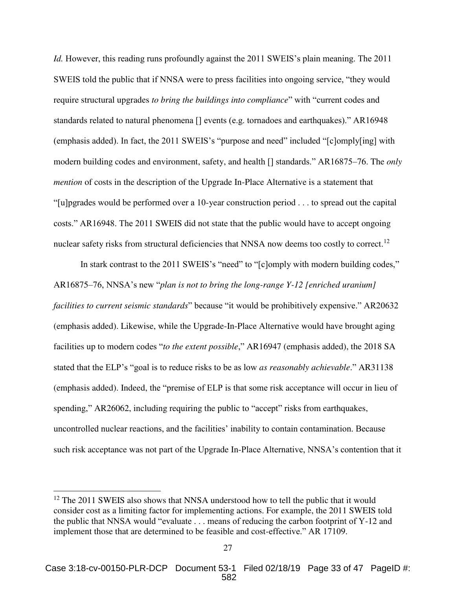*Id.* However, this reading runs profoundly against the 2011 SWEIS's plain meaning. The 2011 SWEIS told the public that if NNSA were to press facilities into ongoing service, "they would require structural upgrades *to bring the buildings into compliance*" with "current codes and standards related to natural phenomena [] events (e.g. tornadoes and earthquakes)." AR16948 (emphasis added). In fact, the 2011 SWEIS's "purpose and need" included "[c]omply[ing] with modern building codes and environment, safety, and health [] standards." AR16875–76. The *only mention* of costs in the description of the Upgrade In-Place Alternative is a statement that "[u]pgrades would be performed over a 10-year construction period . . . to spread out the capital costs." AR16948. The 2011 SWEIS did not state that the public would have to accept ongoing nuclear safety risks from structural deficiencies that NNSA now deems too costly to correct.<sup>12</sup>

In stark contrast to the 2011 SWEIS's "need" to "[c]omply with modern building codes," AR16875–76, NNSA's new "*plan is not to bring the long-range Y-12 [enriched uranium] facilities to current seismic standards*" because "it would be prohibitively expensive." AR20632 (emphasis added). Likewise, while the Upgrade-In-Place Alternative would have brought aging facilities up to modern codes "*to the extent possible*," AR16947 (emphasis added), the 2018 SA stated that the ELP's "goal is to reduce risks to be as low *as reasonably achievable*." AR31138 (emphasis added). Indeed, the "premise of ELP is that some risk acceptance will occur in lieu of spending," AR26062, including requiring the public to "accept" risks from earthquakes, uncontrolled nuclear reactions, and the facilities' inability to contain contamination. Because such risk acceptance was not part of the Upgrade In-Place Alternative, NNSA's contention that it

<sup>&</sup>lt;sup>12</sup> The 2011 SWEIS also shows that NNSA understood how to tell the public that it would consider cost as a limiting factor for implementing actions. For example, the 2011 SWEIS told the public that NNSA would "evaluate . . . means of reducing the carbon footprint of Y-12 and implement those that are determined to be feasible and cost-effective." AR 17109.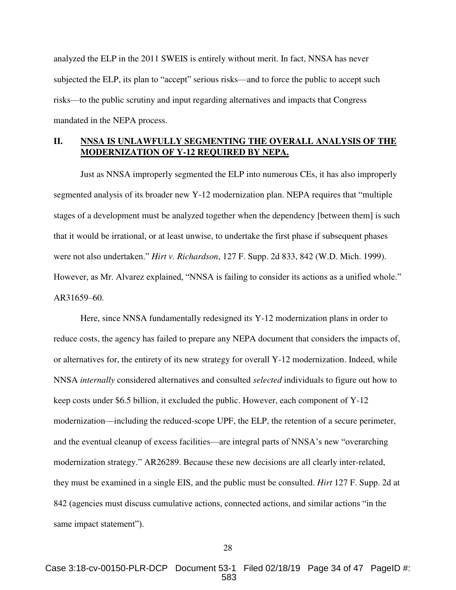analyzed the ELP in the 2011 SWEIS is entirely without merit. In fact, NNSA has never subjected the ELP, its plan to "accept" serious risks—and to force the public to accept such risks—to the public scrutiny and input regarding alternatives and impacts that Congress mandated in the NEPA process.

# <span id="page-33-0"></span>**II. NNSA IS UNLAWFULLY SEGMENTING THE OVERALL ANALYSIS OF THE MODERNIZATION OF Y-12 REQUIRED BY NEPA.**

Just as NNSA improperly segmented the ELP into numerous CEs, it has also improperly segmented analysis of its broader new Y-12 modernization plan. NEPA requires that "multiple stages of a development must be analyzed together when the dependency [between them] is such that it would be irrational, or at least unwise, to undertake the first phase if subsequent phases were not also undertaken." *Hirt v. Richardson*, 127 F. Supp. 2d 833, 842 (W.D. Mich. 1999). However, as Mr. Alvarez explained, "NNSA is failing to consider its actions as a unified whole." AR31659–60.

<span id="page-33-1"></span>Here, since NNSA fundamentally redesigned its Y-12 modernization plans in order to reduce costs, the agency has failed to prepare any NEPA document that considers the impacts of, or alternatives for, the entirety of its new strategy for overall Y-12 modernization. Indeed, while NNSA *internally* considered alternatives and consulted *selected* individuals to figure out how to keep costs under \$6.5 billion, it excluded the public. However, each component of Y-12 modernization—including the reduced-scope UPF, the ELP, the retention of a secure perimeter, and the eventual cleanup of excess facilities—are integral parts of NNSA's new "overarching modernization strategy." AR26289. Because these new decisions are all clearly inter-related, they must be examined in a single EIS, and the public must be consulted. *Hirt* 127 F. Supp. 2d at 842 (agencies must discuss cumulative actions, connected actions, and similar actions "in the same impact statement").

Case 3:18-cv-00150-PLR-DCP Document 53-1 Filed 02/18/19 Page 34 of 47 PageID #: 583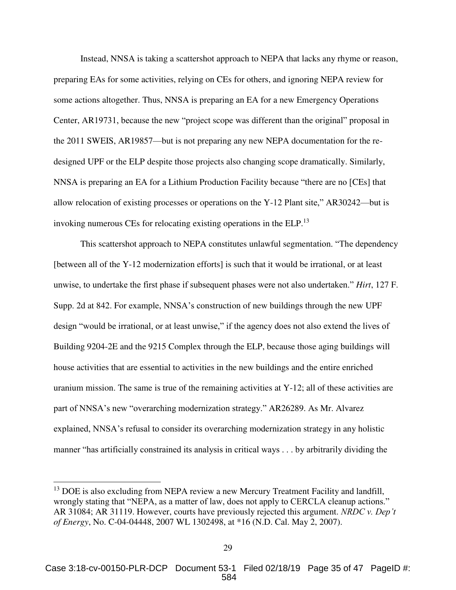Instead, NNSA is taking a scattershot approach to NEPA that lacks any rhyme or reason, preparing EAs for some activities, relying on CEs for others, and ignoring NEPA review for some actions altogether. Thus, NNSA is preparing an EA for a new Emergency Operations Center, AR19731, because the new "project scope was different than the original" proposal in the 2011 SWEIS, AR19857—but is not preparing any new NEPA documentation for the redesigned UPF or the ELP despite those projects also changing scope dramatically. Similarly, NNSA is preparing an EA for a Lithium Production Facility because "there are no [CEs] that allow relocation of existing processes or operations on the Y-12 Plant site," AR30242—but is invoking numerous CEs for relocating existing operations in the ELP.<sup>13</sup>

<span id="page-34-0"></span>This scattershot approach to NEPA constitutes unlawful segmentation. "The dependency [between all of the Y-12 modernization efforts] is such that it would be irrational, or at least unwise, to undertake the first phase if subsequent phases were not also undertaken." *Hirt*, 127 F. Supp. 2d at 842. For example, NNSA's construction of new buildings through the new UPF design "would be irrational, or at least unwise," if the agency does not also extend the lives of Building 9204-2E and the 9215 Complex through the ELP, because those aging buildings will house activities that are essential to activities in the new buildings and the entire enriched uranium mission. The same is true of the remaining activities at Y-12; all of these activities are part of NNSA's new "overarching modernization strategy." AR26289. As Mr. Alvarez explained, NNSA's refusal to consider its overarching modernization strategy in any holistic manner "has artificially constrained its analysis in critical ways . . . by arbitrarily dividing the

<span id="page-34-1"></span><sup>&</sup>lt;sup>13</sup> DOE is also excluding from NEPA review a new Mercury Treatment Facility and landfill, wrongly stating that "NEPA, as a matter of law, does not apply to CERCLA cleanup actions." AR 31084; AR 31119. However, courts have previously rejected this argument. *NRDC v. Dep't of Energy*, No. C-04-04448, 2007 WL 1302498, at \*16 (N.D. Cal. May 2, 2007).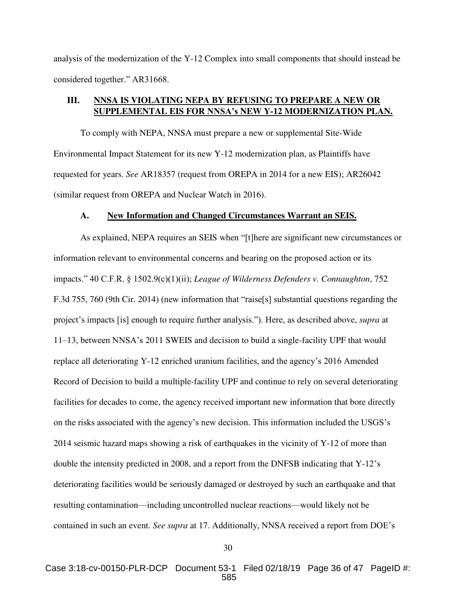analysis of the modernization of the Y-12 Complex into small components that should instead be considered together." AR31668.

# <span id="page-35-0"></span>**III. NNSA IS VIOLATING NEPA BY REFUSING TO PREPARE A NEW OR SUPPLEMENTAL EIS FOR NNSA's NEW Y-12 MODERNIZATION PLAN.**

To comply with NEPA, NNSA must prepare a new or supplemental Site-Wide Environmental Impact Statement for its new Y-12 modernization plan, as Plaintiffs have requested for years. *See* AR18357 (request from OREPA in 2014 for a new EIS); AR26042 (similar request from OREPA and Nuclear Watch in 2016).

#### <span id="page-35-2"></span>**A. New Information and Changed Circumstances Warrant an SEIS.**

<span id="page-35-1"></span> As explained, NEPA requires an SEIS when "[t]here are significant new circumstances or information relevant to environmental concerns and bearing on the proposed action or its impacts." 40 C.F.R. § 1502.9(c)(1)(ii); *League of Wilderness Defenders v. Connaughton*, 752 F.3d 755, 760 (9th Cir. 2014) (new information that "raise[s] substantial questions regarding the project's impacts [is] enough to require further analysis."). Here, as described above, *supra* at 11–13, between NNSA's 2011 SWEIS and decision to build a single-facility UPF that would replace all deteriorating Y-12 enriched uranium facilities, and the agency's 2016 Amended Record of Decision to build a multiple-facility UPF and continue to rely on several deteriorating facilities for decades to come, the agency received important new information that bore directly on the risks associated with the agency's new decision. This information included the USGS's 2014 seismic hazard maps showing a risk of earthquakes in the vicinity of Y-12 of more than double the intensity predicted in 2008, and a report from the DNFSB indicating that Y-12's deteriorating facilities would be seriously damaged or destroyed by such an earthquake and that resulting contamination—including uncontrolled nuclear reactions—would likely not be contained in such an event. *See supra* at 17. Additionally, NNSA received a report from DOE's

30

Case 3:18-cv-00150-PLR-DCP Document 53-1 Filed 02/18/19 Page 36 of 47 PageID #: 585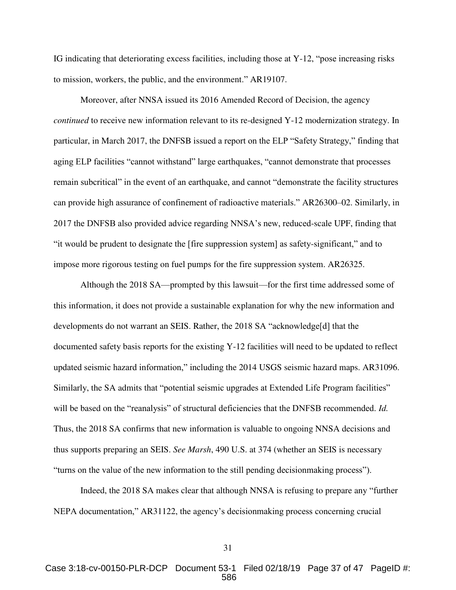IG indicating that deteriorating excess facilities, including those at Y-12, "pose increasing risks to mission, workers, the public, and the environment." AR19107.

Moreover, after NNSA issued its 2016 Amended Record of Decision, the agency *continued* to receive new information relevant to its re-designed Y-12 modernization strategy. In particular, in March 2017, the DNFSB issued a report on the ELP "Safety Strategy," finding that aging ELP facilities "cannot withstand" large earthquakes, "cannot demonstrate that processes remain subcritical" in the event of an earthquake, and cannot "demonstrate the facility structures can provide high assurance of confinement of radioactive materials." AR26300–02. Similarly, in 2017 the DNFSB also provided advice regarding NNSA's new, reduced-scale UPF, finding that "it would be prudent to designate the [fire suppression system] as safety-significant," and to impose more rigorous testing on fuel pumps for the fire suppression system. AR26325.

 Although the 2018 SA—prompted by this lawsuit—for the first time addressed some of this information, it does not provide a sustainable explanation for why the new information and developments do not warrant an SEIS. Rather, the 2018 SA "acknowledge[d] that the documented safety basis reports for the existing Y-12 facilities will need to be updated to reflect updated seismic hazard information," including the 2014 USGS seismic hazard maps. AR31096. Similarly, the SA admits that "potential seismic upgrades at Extended Life Program facilities" will be based on the "reanalysis" of structural deficiencies that the DNFSB recommended. *Id.* Thus, the 2018 SA confirms that new information is valuable to ongoing NNSA decisions and thus supports preparing an SEIS. *See Marsh*, 490 U.S. at 374 (whether an SEIS is necessary "turns on the value of the new information to the still pending decisionmaking process").

<span id="page-36-0"></span> Indeed, the 2018 SA makes clear that although NNSA is refusing to prepare any "further NEPA documentation," AR31122, the agency's decisionmaking process concerning crucial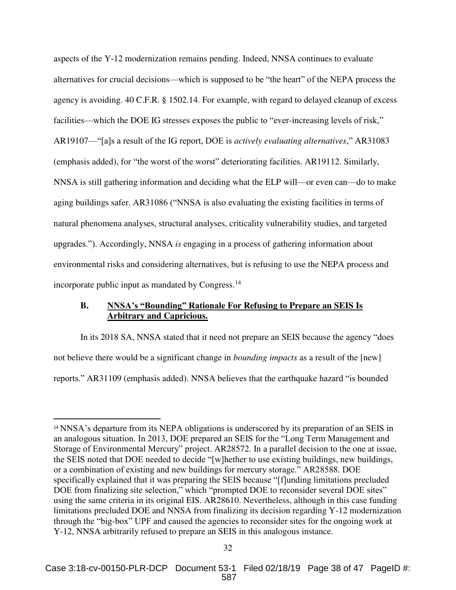<span id="page-37-1"></span>aspects of the Y-12 modernization remains pending. Indeed, NNSA continues to evaluate alternatives for crucial decisions—which is supposed to be "the heart" of the NEPA process the agency is avoiding. 40 C.F.R. § 1502.14. For example, with regard to delayed cleanup of excess facilities—which the DOE IG stresses exposes the public to "ever-increasing levels of risk," AR19107—"[a]s a result of the IG report, DOE is *actively evaluating alternatives*," AR31083 (emphasis added), for "the worst of the worst" deteriorating facilities. AR19112. Similarly, NNSA is still gathering information and deciding what the ELP will—or even can—do to make aging buildings safer. AR31086 ("NNSA is also evaluating the existing facilities in terms of natural phenomena analyses, structural analyses, criticality vulnerability studies, and targeted upgrades."). Accordingly, NNSA *is* engaging in a process of gathering information about environmental risks and considering alternatives, but is refusing to use the NEPA process and incorporate public input as mandated by Congress.<sup>14</sup>

## <span id="page-37-0"></span>**B. NNSA's "Bounding" Rationale For Refusing to Prepare an SEIS Is Arbitrary and Capricious.**

 In its 2018 SA, NNSA stated that it need not prepare an SEIS because the agency "does not believe there would be a significant change in *bounding impacts* as a result of the [new] reports." AR31109 (emphasis added). NNSA believes that the earthquake hazard "is bounded

<sup>14</sup> NNSA's departure from its NEPA obligations is underscored by its preparation of an SEIS in an analogous situation. In 2013, DOE prepared an SEIS for the "Long Term Management and Storage of Environmental Mercury" project. AR28572. In a parallel decision to the one at issue, the SEIS noted that DOE needed to decide "[w]hether to use existing buildings, new buildings, or a combination of existing and new buildings for mercury storage." AR28588. DOE specifically explained that it was preparing the SEIS because "[f]unding limitations precluded DOE from finalizing site selection," which "prompted DOE to reconsider several DOE sites" using the same criteria in its original EIS. AR28610. Nevertheless, although in this case funding limitations precluded DOE and NNSA from finalizing its decision regarding Y-12 modernization through the "big-box" UPF and caused the agencies to reconsider sites for the ongoing work at Y-12, NNSA arbitrarily refused to prepare an SEIS in this analogous instance.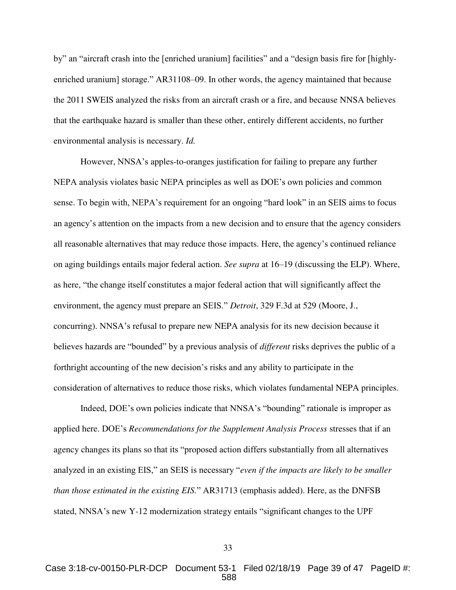by" an "aircraft crash into the [enriched uranium] facilities" and a "design basis fire for [highlyenriched uranium] storage." AR31108–09. In other words, the agency maintained that because the 2011 SWEIS analyzed the risks from an aircraft crash or a fire, and because NNSA believes that the earthquake hazard is smaller than these other, entirely different accidents, no further environmental analysis is necessary. *Id.*

 However, NNSA's apples-to-oranges justification for failing to prepare any further NEPA analysis violates basic NEPA principles as well as DOE's own policies and common sense. To begin with, NEPA's requirement for an ongoing "hard look" in an SEIS aims to focus an agency's attention on the impacts from a new decision and to ensure that the agency considers all reasonable alternatives that may reduce those impacts. Here, the agency's continued reliance on aging buildings entails major federal action. *See supra* at 16–19 (discussing the ELP). Where, as here, "the change itself constitutes a major federal action that will significantly affect the environment, the agency must prepare an SEIS." *Detroit*, 329 F.3d at 529 (Moore, J., concurring). NNSA's refusal to prepare new NEPA analysis for its new decision because it believes hazards are "bounded" by a previous analysis of *different* risks deprives the public of a forthright accounting of the new decision's risks and any ability to participate in the consideration of alternatives to reduce those risks, which violates fundamental NEPA principles.

<span id="page-38-0"></span>Indeed, DOE's own policies indicate that NNSA's "bounding" rationale is improper as applied here. DOE's *Recommendations for the Supplement Analysis Process* stresses that if an agency changes its plans so that its "proposed action differs substantially from all alternatives analyzed in an existing EIS," an SEIS is necessary "*even if the impacts are likely to be smaller than those estimated in the existing EIS.*" AR31713 (emphasis added). Here, as the DNFSB stated, NNSA's new Y-12 modernization strategy entails "significant changes to the UPF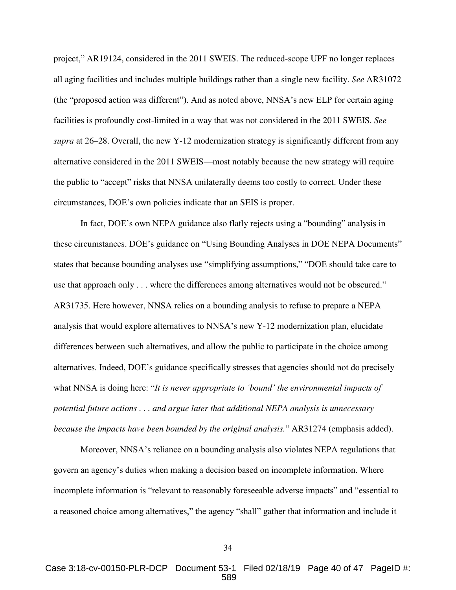project," AR19124, considered in the 2011 SWEIS. The reduced-scope UPF no longer replaces all aging facilities and includes multiple buildings rather than a single new facility. *See* AR31072 (the "proposed action was different"). And as noted above, NNSA's new ELP for certain aging facilities is profoundly cost-limited in a way that was not considered in the 2011 SWEIS. *See supra* at 26–28. Overall, the new Y-12 modernization strategy is significantly different from any alternative considered in the 2011 SWEIS—most notably because the new strategy will require the public to "accept" risks that NNSA unilaterally deems too costly to correct. Under these circumstances, DOE's own policies indicate that an SEIS is proper.

In fact, DOE's own NEPA guidance also flatly rejects using a "bounding" analysis in these circumstances. DOE's guidance on "Using Bounding Analyses in DOE NEPA Documents" states that because bounding analyses use "simplifying assumptions," "DOE should take care to use that approach only . . . where the differences among alternatives would not be obscured." AR31735. Here however, NNSA relies on a bounding analysis to refuse to prepare a NEPA analysis that would explore alternatives to NNSA's new Y-12 modernization plan, elucidate differences between such alternatives, and allow the public to participate in the choice among alternatives. Indeed, DOE's guidance specifically stresses that agencies should not do precisely what NNSA is doing here: "*It is never appropriate to 'bound' the environmental impacts of potential future actions . . . and argue later that additional NEPA analysis is unnecessary because the impacts have been bounded by the original analysis.*" AR31274 (emphasis added).

Moreover, NNSA's reliance on a bounding analysis also violates NEPA regulations that govern an agency's duties when making a decision based on incomplete information. Where incomplete information is "relevant to reasonably foreseeable adverse impacts" and "essential to a reasoned choice among alternatives," the agency "shall" gather that information and include it

Case 3:18-cv-00150-PLR-DCP Document 53-1 Filed 02/18/19 Page 40 of 47 PageID #: 589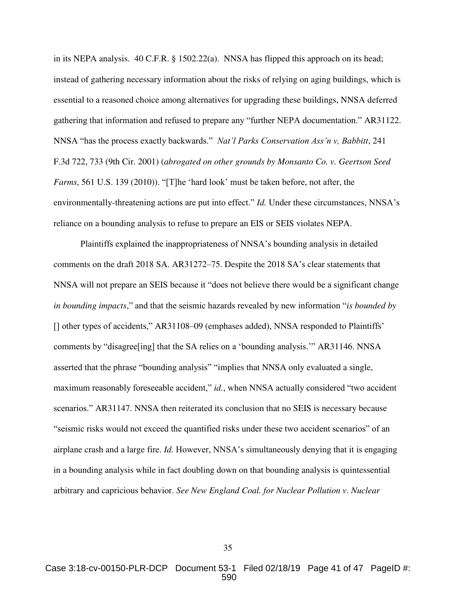<span id="page-40-2"></span><span id="page-40-0"></span>in its NEPA analysis. 40 C.F.R. § 1502.22(a). NNSA has flipped this approach on its head; instead of gathering necessary information about the risks of relying on aging buildings, which is essential to a reasoned choice among alternatives for upgrading these buildings, NNSA deferred gathering that information and refused to prepare any "further NEPA documentation." AR31122. NNSA "has the process exactly backwards." *Nat'l Parks Conservation Ass'n v, Babbitt*, 241 F.3d 722, 733 (9th Cir. 2001) (*abrogated on other grounds by Monsanto Co. v. Geertson Seed Farms*, 561 U.S. 139 (2010)). "[T]he 'hard look' must be taken before, not after, the environmentally-threatening actions are put into effect." *Id.* Under these circumstances, NNSA's reliance on a bounding analysis to refuse to prepare an EIS or SEIS violates NEPA.

<span id="page-40-1"></span>Plaintiffs explained the inappropriateness of NNSA's bounding analysis in detailed comments on the draft 2018 SA. AR31272–75. Despite the 2018 SA's clear statements that NNSA will not prepare an SEIS because it "does not believe there would be a significant change *in bounding impacts*," and that the seismic hazards revealed by new information "*is bounded by* [] other types of accidents," AR31108–09 (emphases added), NNSA responded to Plaintiffs' comments by "disagree[ing] that the SA relies on a 'bounding analysis.'" AR31146. NNSA asserted that the phrase "bounding analysis" "implies that NNSA only evaluated a single, maximum reasonably foreseeable accident," *id.*, when NNSA actually considered "two accident scenarios." AR31147. NNSA then reiterated its conclusion that no SEIS is necessary because "seismic risks would not exceed the quantified risks under these two accident scenarios" of an airplane crash and a large fire. *Id.* However, NNSA's simultaneously denying that it is engaging in a bounding analysis while in fact doubling down on that bounding analysis is quintessential arbitrary and capricious behavior. *See New England Coal. for Nuclear Pollution v. Nuclear*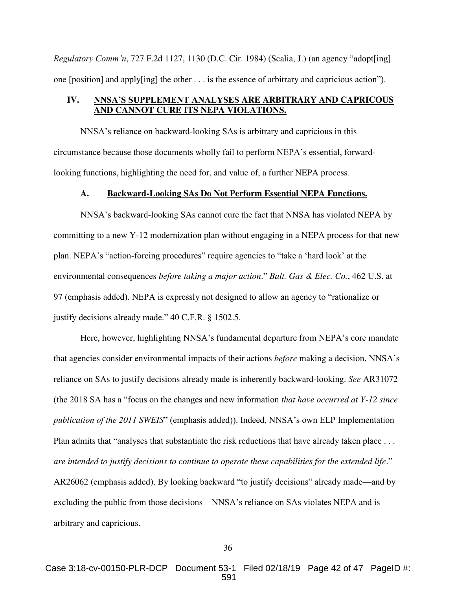*Regulatory Comm'n*, 727 F.2d 1127, 1130 (D.C. Cir. 1984) (Scalia, J.) (an agency "adopt[ing] one [position] and apply[ing] the other . . . is the essence of arbitrary and capricious action").

# <span id="page-41-0"></span>**IV. NNSA'S SUPPLEMENT ANALYSES ARE ARBITRARY AND CAPRICOUS AND CANNOT CURE ITS NEPA VIOLATIONS.**

NNSA's reliance on backward-looking SAs is arbitrary and capricious in this circumstance because those documents wholly fail to perform NEPA's essential, forwardlooking functions, highlighting the need for, and value of, a further NEPA process.

## <span id="page-41-2"></span>**A. Backward-Looking SAs Do Not Perform Essential NEPA Functions.**

<span id="page-41-1"></span>NNSA's backward-looking SAs cannot cure the fact that NNSA has violated NEPA by committing to a new Y-12 modernization plan without engaging in a NEPA process for that new plan. NEPA's "action-forcing procedures" require agencies to "take a 'hard look' at the environmental consequences *before taking a major action*." *Balt. Gas & Elec. Co.*, 462 U.S. at 97 (emphasis added). NEPA is expressly not designed to allow an agency to "rationalize or justify decisions already made." 40 C.F.R. § 1502.5.

Here, however, highlighting NNSA's fundamental departure from NEPA's core mandate that agencies consider environmental impacts of their actions *before* making a decision, NNSA's reliance on SAs to justify decisions already made is inherently backward-looking. *See* AR31072 (the 2018 SA has a "focus on the changes and new information *that have occurred at Y-12 since publication of the 2011 SWEIS*" (emphasis added)). Indeed, NNSA's own ELP Implementation Plan admits that "analyses that substantiate the risk reductions that have already taken place . . . *are intended to justify decisions to continue to operate these capabilities for the extended life*." AR26062 (emphasis added). By looking backward "to justify decisions" already made—and by excluding the public from those decisions—NNSA's reliance on SAs violates NEPA and is arbitrary and capricious.

Case 3:18-cv-00150-PLR-DCP Document 53-1 Filed 02/18/19 Page 42 of 47 PageID #: 591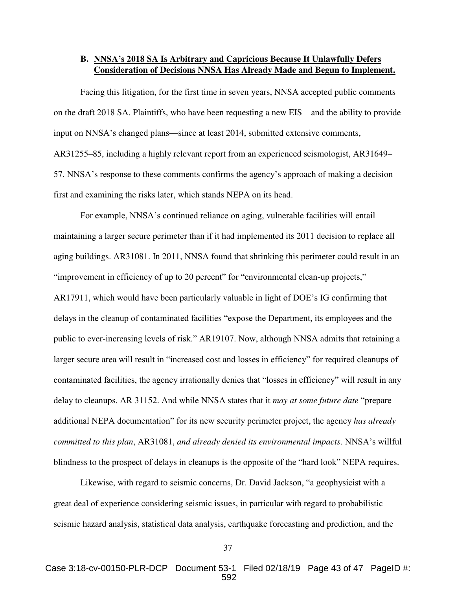# <span id="page-42-0"></span>**B. NNSA's 2018 SA Is Arbitrary and Capricious Because It Unlawfully Defers Consideration of Decisions NNSA Has Already Made and Begun to Implement.**

Facing this litigation, for the first time in seven years, NNSA accepted public comments on the draft 2018 SA. Plaintiffs, who have been requesting a new EIS—and the ability to provide input on NNSA's changed plans—since at least 2014, submitted extensive comments, AR31255–85, including a highly relevant report from an experienced seismologist, AR31649– 57. NNSA's response to these comments confirms the agency's approach of making a decision first and examining the risks later, which stands NEPA on its head.

For example, NNSA's continued reliance on aging, vulnerable facilities will entail maintaining a larger secure perimeter than if it had implemented its 2011 decision to replace all aging buildings. AR31081. In 2011, NNSA found that shrinking this perimeter could result in an "improvement in efficiency of up to 20 percent" for "environmental clean-up projects," AR17911, which would have been particularly valuable in light of DOE's IG confirming that delays in the cleanup of contaminated facilities "expose the Department, its employees and the public to ever-increasing levels of risk." AR19107. Now, although NNSA admits that retaining a larger secure area will result in "increased cost and losses in efficiency" for required cleanups of contaminated facilities, the agency irrationally denies that "losses in efficiency" will result in any delay to cleanups. AR 31152. And while NNSA states that it *may at some future date* "prepare additional NEPA documentation" for its new security perimeter project, the agency *has already committed to this plan*, AR31081, *and already denied its environmental impacts*. NNSA's willful blindness to the prospect of delays in cleanups is the opposite of the "hard look" NEPA requires.

 Likewise, with regard to seismic concerns, Dr. David Jackson, "a geophysicist with a great deal of experience considering seismic issues, in particular with regard to probabilistic seismic hazard analysis, statistical data analysis, earthquake forecasting and prediction, and the

Case 3:18-cv-00150-PLR-DCP Document 53-1 Filed 02/18/19 Page 43 of 47 PageID #: 592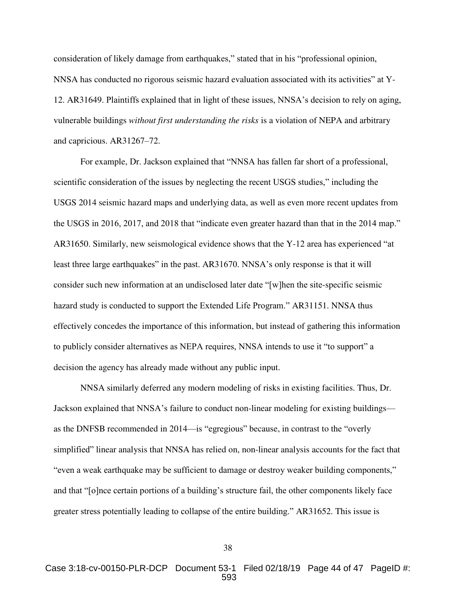consideration of likely damage from earthquakes," stated that in his "professional opinion, NNSA has conducted no rigorous seismic hazard evaluation associated with its activities" at Y-12. AR31649. Plaintiffs explained that in light of these issues, NNSA's decision to rely on aging, vulnerable buildings *without first understanding the risks* is a violation of NEPA and arbitrary and capricious. AR31267–72.

For example, Dr. Jackson explained that "NNSA has fallen far short of a professional, scientific consideration of the issues by neglecting the recent USGS studies," including the USGS 2014 seismic hazard maps and underlying data, as well as even more recent updates from the USGS in 2016, 2017, and 2018 that "indicate even greater hazard than that in the 2014 map." AR31650. Similarly, new seismological evidence shows that the Y-12 area has experienced "at least three large earthquakes" in the past. AR31670. NNSA's only response is that it will consider such new information at an undisclosed later date "[w]hen the site-specific seismic hazard study is conducted to support the Extended Life Program." AR31151. NNSA thus effectively concedes the importance of this information, but instead of gathering this information to publicly consider alternatives as NEPA requires, NNSA intends to use it "to support" a decision the agency has already made without any public input.

NNSA similarly deferred any modern modeling of risks in existing facilities. Thus, Dr. Jackson explained that NNSA's failure to conduct non-linear modeling for existing buildings as the DNFSB recommended in 2014—is "egregious" because, in contrast to the "overly simplified" linear analysis that NNSA has relied on, non-linear analysis accounts for the fact that "even a weak earthquake may be sufficient to damage or destroy weaker building components," and that "[o]nce certain portions of a building's structure fail, the other components likely face greater stress potentially leading to collapse of the entire building." AR31652. This issue is

38

Case 3:18-cv-00150-PLR-DCP Document 53-1 Filed 02/18/19 Page 44 of 47 PageID #: 593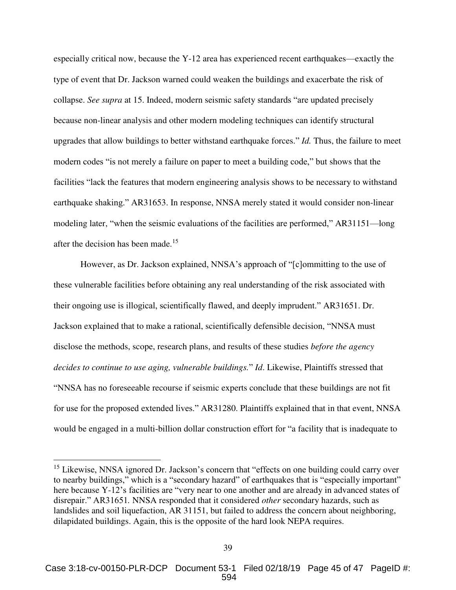especially critical now, because the Y-12 area has experienced recent earthquakes—exactly the type of event that Dr. Jackson warned could weaken the buildings and exacerbate the risk of collapse. *See supra* at 15. Indeed, modern seismic safety standards "are updated precisely because non-linear analysis and other modern modeling techniques can identify structural upgrades that allow buildings to better withstand earthquake forces." *Id.* Thus, the failure to meet modern codes "is not merely a failure on paper to meet a building code," but shows that the facilities "lack the features that modern engineering analysis shows to be necessary to withstand earthquake shaking." AR31653. In response, NNSA merely stated it would consider non-linear modeling later, "when the seismic evaluations of the facilities are performed," AR31151—long after the decision has been made.<sup>15</sup>

However, as Dr. Jackson explained, NNSA's approach of "[c]ommitting to the use of these vulnerable facilities before obtaining any real understanding of the risk associated with their ongoing use is illogical, scientifically flawed, and deeply imprudent." AR31651. Dr. Jackson explained that to make a rational, scientifically defensible decision, "NNSA must disclose the methods, scope, research plans, and results of these studies *before the agency decides to continue to use aging, vulnerable buildings.*" *Id*. Likewise, Plaintiffs stressed that "NNSA has no foreseeable recourse if seismic experts conclude that these buildings are not fit for use for the proposed extended lives." AR31280. Plaintiffs explained that in that event, NNSA would be engaged in a multi-billion dollar construction effort for "a facility that is inadequate to

<sup>&</sup>lt;sup>15</sup> Likewise, NNSA ignored Dr. Jackson's concern that "effects on one building could carry over to nearby buildings," which is a "secondary hazard" of earthquakes that is "especially important" here because Y-12's facilities are "very near to one another and are already in advanced states of disrepair." AR31651*.* NNSA responded that it considered *other* secondary hazards, such as landslides and soil liquefaction, AR 31151, but failed to address the concern about neighboring, dilapidated buildings. Again, this is the opposite of the hard look NEPA requires.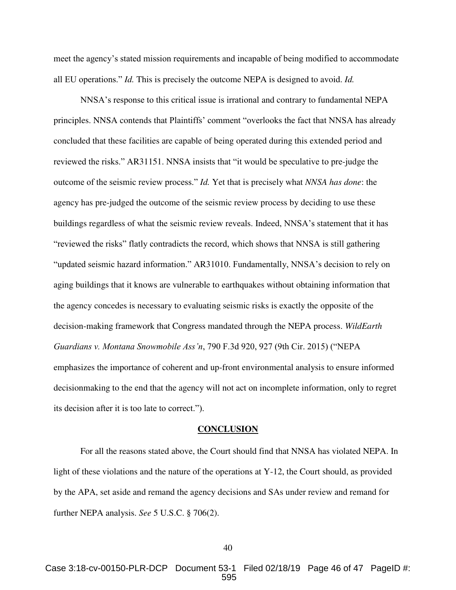meet the agency's stated mission requirements and incapable of being modified to accommodate all EU operations." *Id.* This is precisely the outcome NEPA is designed to avoid. *Id.* 

NNSA's response to this critical issue is irrational and contrary to fundamental NEPA principles. NNSA contends that Plaintiffs' comment "overlooks the fact that NNSA has already concluded that these facilities are capable of being operated during this extended period and reviewed the risks." AR31151. NNSA insists that "it would be speculative to pre-judge the outcome of the seismic review process." *Id.* Yet that is precisely what *NNSA has done*: the agency has pre-judged the outcome of the seismic review process by deciding to use these buildings regardless of what the seismic review reveals. Indeed, NNSA's statement that it has "reviewed the risks" flatly contradicts the record, which shows that NNSA is still gathering "updated seismic hazard information." AR31010. Fundamentally, NNSA's decision to rely on aging buildings that it knows are vulnerable to earthquakes without obtaining information that the agency concedes is necessary to evaluating seismic risks is exactly the opposite of the decision-making framework that Congress mandated through the NEPA process. *WildEarth Guardians v. Montana Snowmobile Ass'n*, 790 F.3d 920, 927 (9th Cir. 2015) ("NEPA emphasizes the importance of coherent and up-front environmental analysis to ensure informed decisionmaking to the end that the agency will not act on incomplete information, only to regret its decision after it is too late to correct.").

#### <span id="page-45-2"></span><span id="page-45-1"></span>**CONCLUSION**

<span id="page-45-0"></span>For all the reasons stated above, the Court should find that NNSA has violated NEPA. In light of these violations and the nature of the operations at Y-12, the Court should, as provided by the APA, set aside and remand the agency decisions and SAs under review and remand for further NEPA analysis. *See* 5 U.S.C. § 706(2).

Case 3:18-cv-00150-PLR-DCP Document 53-1 Filed 02/18/19 Page 46 of 47 PageID #: 595